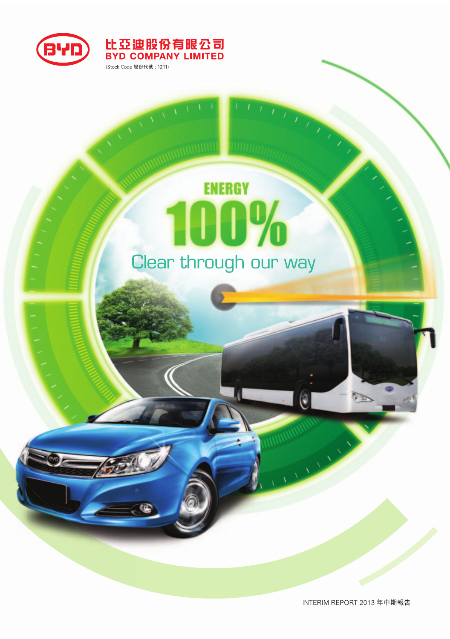

# **ENERGY 10%** Clear through our way

比亞迪股份有限公司<br>BYD COMPANY LIMITED

(Stock Code 股份代號: 1211)

G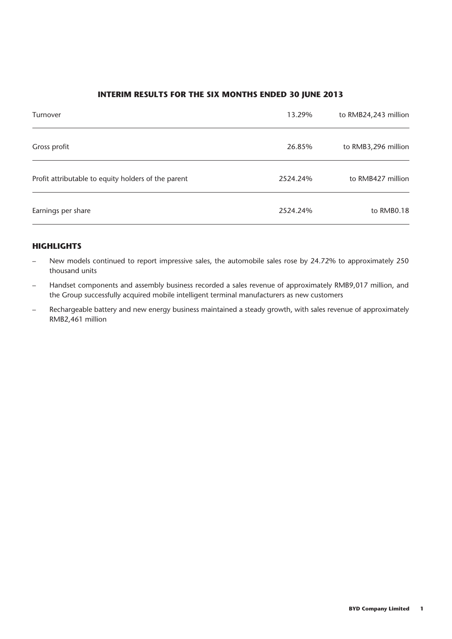#### **INTERIM RESULTS FOR THE SIX MONTHS ENDED 30 JUNE 2013**

| Turnover                                            | 13.29%   | to RMB24,243 million |
|-----------------------------------------------------|----------|----------------------|
| Gross profit                                        | 26.85%   | to RMB3,296 million  |
| Profit attributable to equity holders of the parent | 2524.24% | to RMB427 million    |
| Earnings per share                                  | 2524.24% | to RMB0.18           |

#### **HIGHLIGHTS**

- New models continued to report impressive sales, the automobile sales rose by 24.72% to approximately 250 thousand units
- Handset components and assembly business recorded a sales revenue of approximately RMB9,017 million, and the Group successfully acquired mobile intelligent terminal manufacturers as new customers
- Rechargeable battery and new energy business maintained a steady growth, with sales revenue of approximately RMB2,461 million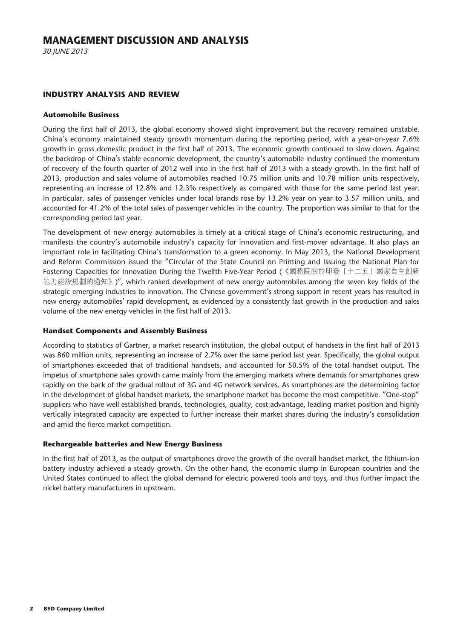30 JUNE 2013

#### **INDUSTRY ANALYSIS AND REVIEW**

#### **Automobile Business**

During the first half of 2013, the global economy showed slight improvement but the recovery remained unstable. China's economy maintained steady growth momentum during the reporting period, with a year-on-year 7.6% growth in gross domestic product in the first half of 2013. The economic growth continued to slow down. Against the backdrop of China's stable economic development, the country's automobile industry continued the momentum of recovery of the fourth quarter of 2012 well into in the first half of 2013 with a steady growth. In the first half of 2013, production and sales volume of automobiles reached 10.75 million units and 10.78 million units respectively, representing an increase of 12.8% and 12.3% respectively as compared with those for the same period last year. In particular, sales of passenger vehicles under local brands rose by 13.2% year on year to 3.57 million units, and accounted for 41.2% of the total sales of passenger vehicles in the country. The proportion was similar to that for the corresponding period last year.

The development of new energy automobiles is timely at a critical stage of China's economic restructuring, and manifests the country's automobile industry's capacity for innovation and first-mover advantage. It also plays an important role in facilitating China's transformation to a green economy. In May 2013, the National Development and Reform Commission issued the "Circular of the State Council on Printing and Issuing the National Plan for Fostering Capacities for Innovation During the Twelfth Five-Year Period (《國務院關於印發「十二五」國家自主創新 能力建設規劃的通知》)", which ranked development of new energy automobiles among the seven key fields of the strategic emerging industries to innovation. The Chinese government's strong support in recent years has resulted in new energy automobiles' rapid development, as evidenced by a consistently fast growth in the production and sales volume of the new energy vehicles in the first half of 2013.

#### **Handset Components and Assembly Business**

According to statistics of Gartner, a market research institution, the global output of handsets in the first half of 2013 was 860 million units, representing an increase of 2.7% over the same period last year. Specifically, the global output of smartphones exceeded that of traditional handsets, and accounted for 50.5% of the total handset output. The impetus of smartphone sales growth came mainly from the emerging markets where demands for smartphones grew rapidly on the back of the gradual rollout of 3G and 4G network services. As smartphones are the determining factor in the development of global handset markets, the smartphone market has become the most competitive. "One-stop" suppliers who have well established brands, technologies, quality, cost advantage, leading market position and highly vertically integrated capacity are expected to further increase their market shares during the industry's consolidation and amid the fierce market competition.

#### **Rechargeable batteries and New Energy Business**

In the first half of 2013, as the output of smartphones drove the growth of the overall handset market, the lithium-ion battery industry achieved a steady growth. On the other hand, the economic slump in European countries and the United States continued to affect the global demand for electric powered tools and toys, and thus further impact the nickel battery manufacturers in upstream.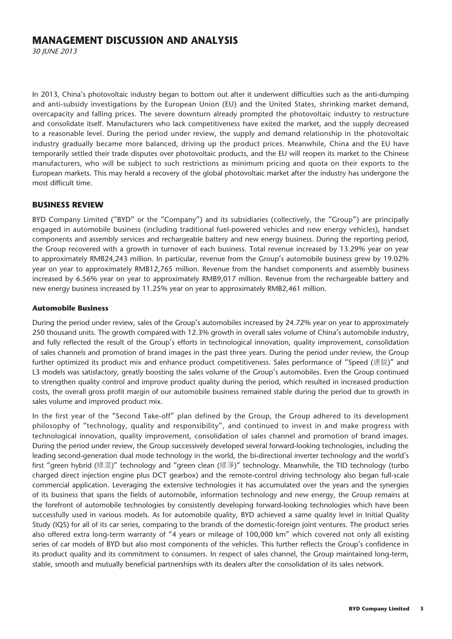30 JUNE 2013

In 2013, China's photovoltaic industry began to bottom out after it underwent difficulties such as the anti-dumping and anti-subsidy investigations by the European Union (EU) and the United States, shrinking market demand, overcapacity and falling prices. The severe downturn already prompted the photovoltaic industry to restructure and consolidate itself. Manufacturers who lack competitiveness have exited the market, and the supply decreased to a reasonable level. During the period under review, the supply and demand relationship in the photovoltaic industry gradually became more balanced, driving up the product prices. Meanwhile, China and the EU have temporarily settled their trade disputes over photovoltaic products, and the EU will reopen its market to the Chinese manufacturers, who will be subject to such restrictions as minimum pricing and quota on their exports to the European markets. This may herald a recovery of the global photovoltaic market after the industry has undergone the most difficult time.

#### **BUSINESS REVIEW**

BYD Company Limited ("BYD" or the "Company") and its subsidiaries (collectively, the "Group") are principally engaged in automobile business (including traditional fuel-powered vehicles and new energy vehicles), handset components and assembly services and rechargeable battery and new energy business. During the reporting period, the Group recovered with a growth in turnover of each business. Total revenue increased by 13.29% year on year to approximately RMB24,243 million. In particular, revenue from the Group's automobile business grew by 19.02% year on year to approximately RMB12,765 million. Revenue from the handset components and assembly business increased by 6.56% year on year to approximately RMB9,017 million. Revenue from the rechargeable battery and new energy business increased by 11.25% year on year to approximately RMB2,461 million.

#### **Automobile Business**

During the period under review, sales of the Group's automobiles increased by 24.72% year on year to approximately 250 thousand units. The growth compared with 12.3% growth in overall sales volume of China's automobile industry, and fully reflected the result of the Group's efforts in technological innovation, quality improvement, consolidation of sales channels and promotion of brand images in the past three years. During the period under review, the Group further optimized its product mix and enhance product competitiveness. Sales performance of "Speed (速鋭)" and L3 models was satisfactory, greatly boosting the sales volume of the Group's automobiles. Even the Group continued to strengthen quality control and improve product quality during the period, which resulted in increased production costs, the overall gross profit margin of our automobile business remained stable during the period due to growth in sales volume and improved product mix.

In the first year of the "Second Take-off" plan defined by the Group, the Group adhered to its development philosophy of "technology, quality and responsibility", and continued to invest in and make progress with technological innovation, quality improvement, consolidation of sales channel and promotion of brand images. During the period under review, the Group successively developed several forward-looking technologies, including the leading second-generation dual mode technology in the world, the bi-directional inverter technology and the world's first "green hybrid (綠混)" technology and "green clean (綠淨)" technology. Meanwhile, the TID technology (turbo charged direct injection engine plus DCT gearbox) and the remote-control driving technology also began full-scale commercial application. Leveraging the extensive technologies it has accumulated over the years and the synergies of its business that spans the fields of automobile, information technology and new energy, the Group remains at the forefront of automobile technologies by consistently developing forward-looking technologies which have been successfully used in various models. As for automobile quality, BYD achieved a same quality level in Initial Quality Study (IQS) for all of its car series, comparing to the brands of the domestic-foreign joint ventures. The product series also offered extra long-term warranty of "4 years or mileage of 100,000 km" which covered not only all existing series of car models of BYD but also most components of the vehicles. This further reflects the Group's confidence in its product quality and its commitment to consumers. In respect of sales channel, the Group maintained long-term, stable, smooth and mutually beneficial partnerships with its dealers after the consolidation of its sales network.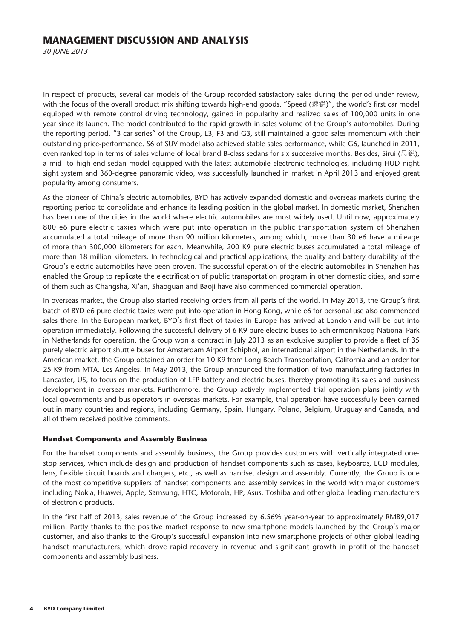30 JUNE 2013

In respect of products, several car models of the Group recorded satisfactory sales during the period under review, with the focus of the overall product mix shifting towards high-end goods. "Speed (速銳)", the world's first car model equipped with remote control driving technology, gained in popularity and realized sales of 100,000 units in one year since its launch. The model contributed to the rapid growth in sales volume of the Group's automobiles. During the reporting period, "3 car series" of the Group, L3, F3 and G3, still maintained a good sales momentum with their outstanding price-performance. S6 of SUV model also achieved stable sales performance, while G6, launched in 2011, even ranked top in terms of sales volume of local brand B-class sedans for six successive months. Besides, Sirui (思鋭), a mid- to high-end sedan model equipped with the latest automobile electronic technologies, including HUD night sight system and 360-degree panoramic video, was successfully launched in market in April 2013 and enjoyed great popularity among consumers.

As the pioneer of China's electric automobiles, BYD has actively expanded domestic and overseas markets during the reporting period to consolidate and enhance its leading position in the global market. In domestic market, Shenzhen has been one of the cities in the world where electric automobiles are most widely used. Until now, approximately 800 e6 pure electric taxies which were put into operation in the public transportation system of Shenzhen accumulated a total mileage of more than 90 million kilometers, among which, more than 30 e6 have a mileage of more than 300,000 kilometers for each. Meanwhile, 200 K9 pure electric buses accumulated a total mileage of more than 18 million kilometers. In technological and practical applications, the quality and battery durability of the Group's electric automobiles have been proven. The successful operation of the electric automobiles in Shenzhen has enabled the Group to replicate the electrification of public transportation program in other domestic cities, and some of them such as Changsha, Xi'an, Shaoguan and Baoji have also commenced commercial operation.

In overseas market, the Group also started receiving orders from all parts of the world. In May 2013, the Group's first batch of BYD e6 pure electric taxies were put into operation in Hong Kong, while e6 for personal use also commenced sales there. In the European market, BYD's first fleet of taxies in Europe has arrived at London and will be put into operation immediately. Following the successful delivery of 6 K9 pure electric buses to Schiermonnikoog National Park in Netherlands for operation, the Group won a contract in July 2013 as an exclusive supplier to provide a fleet of 35 purely electric airport shuttle buses for Amsterdam Airport Schiphol, an international airport in the Netherlands. In the American market, the Group obtained an order for 10 K9 from Long Beach Transportation, California and an order for 25 K9 from MTA, Los Angeles. In May 2013, the Group announced the formation of two manufacturing factories in Lancaster, US, to focus on the production of LFP battery and electric buses, thereby promoting its sales and business development in overseas markets. Furthermore, the Group actively implemented trial operation plans jointly with local governments and bus operators in overseas markets. For example, trial operation have successfully been carried out in many countries and regions, including Germany, Spain, Hungary, Poland, Belgium, Uruguay and Canada, and all of them received positive comments.

#### **Handset Components and Assembly Business**

For the handset components and assembly business, the Group provides customers with vertically integrated onestop services, which include design and production of handset components such as cases, keyboards, LCD modules, lens, flexible circuit boards and chargers, etc., as well as handset design and assembly. Currently, the Group is one of the most competitive suppliers of handset components and assembly services in the world with major customers including Nokia, Huawei, Apple, Samsung, HTC, Motorola, HP, Asus, Toshiba and other global leading manufacturers of electronic products.

In the first half of 2013, sales revenue of the Group increased by 6.56% year-on-year to approximately RMB9,017 million. Partly thanks to the positive market response to new smartphone models launched by the Group's major customer, and also thanks to the Group's successful expansion into new smartphone projects of other global leading handset manufacturers, which drove rapid recovery in revenue and significant growth in profit of the handset components and assembly business.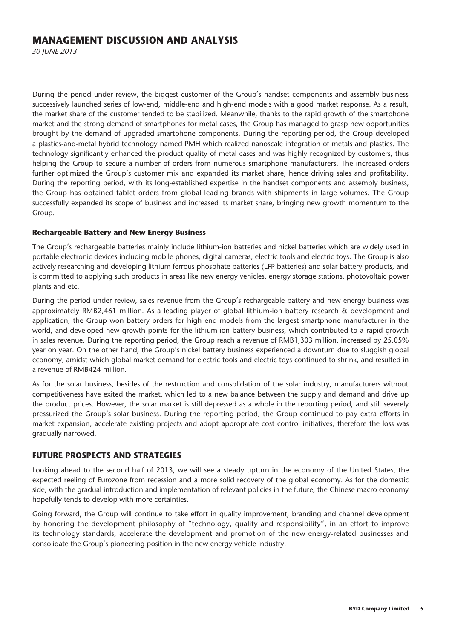30 JUNE 2013

During the period under review, the biggest customer of the Group's handset components and assembly business successively launched series of low-end, middle-end and high-end models with a good market response. As a result, the market share of the customer tended to be stabilized. Meanwhile, thanks to the rapid growth of the smartphone market and the strong demand of smartphones for metal cases, the Group has managed to grasp new opportunities brought by the demand of upgraded smartphone components. During the reporting period, the Group developed a plastics-and-metal hybrid technology named PMH which realized nanoscale integration of metals and plastics. The technology significantly enhanced the product quality of metal cases and was highly recognized by customers, thus helping the Group to secure a number of orders from numerous smartphone manufacturers. The increased orders further optimized the Group's customer mix and expanded its market share, hence driving sales and profitability. During the reporting period, with its long-established expertise in the handset components and assembly business, the Group has obtained tablet orders from global leading brands with shipments in large volumes. The Group successfully expanded its scope of business and increased its market share, bringing new growth momentum to the Group.

#### **Rechargeable Battery and New Energy Business**

The Group's rechargeable batteries mainly include lithium-ion batteries and nickel batteries which are widely used in portable electronic devices including mobile phones, digital cameras, electric tools and electric toys. The Group is also actively researching and developing lithium ferrous phosphate batteries (LFP batteries) and solar battery products, and is committed to applying such products in areas like new energy vehicles, energy storage stations, photovoltaic power plants and etc.

During the period under review, sales revenue from the Group's rechargeable battery and new energy business was approximately RMB2,461 million. As a leading player of global lithium-ion battery research & development and application, the Group won battery orders for high end models from the largest smartphone manufacturer in the world, and developed new growth points for the lithium-ion battery business, which contributed to a rapid growth in sales revenue. During the reporting period, the Group reach a revenue of RMB1,303 million, increased by 25.05% year on year. On the other hand, the Group's nickel battery business experienced a downturn due to sluggish global economy, amidst which global market demand for electric tools and electric toys continued to shrink, and resulted in a revenue of RMB424 million.

As for the solar business, besides of the restruction and consolidation of the solar industry, manufacturers without competitiveness have exited the market, which led to a new balance between the supply and demand and drive up the product prices. However, the solar market is still depressed as a whole in the reporting period, and still severely pressurized the Group's solar business. During the reporting period, the Group continued to pay extra efforts in market expansion, accelerate existing projects and adopt appropriate cost control initiatives, therefore the loss was gradually narrowed.

#### **FUTURE PROSPECTS AND STRATEGIES**

Looking ahead to the second half of 2013, we will see a steady upturn in the economy of the United States, the expected reeling of Eurozone from recession and a more solid recovery of the global economy. As for the domestic side, with the gradual introduction and implementation of relevant policies in the future, the Chinese macro economy hopefully tends to develop with more certainties.

Going forward, the Group will continue to take effort in quality improvement, branding and channel development by honoring the development philosophy of "technology, quality and responsibility", in an effort to improve its technology standards, accelerate the development and promotion of the new energy-related businesses and consolidate the Group's pioneering position in the new energy vehicle industry.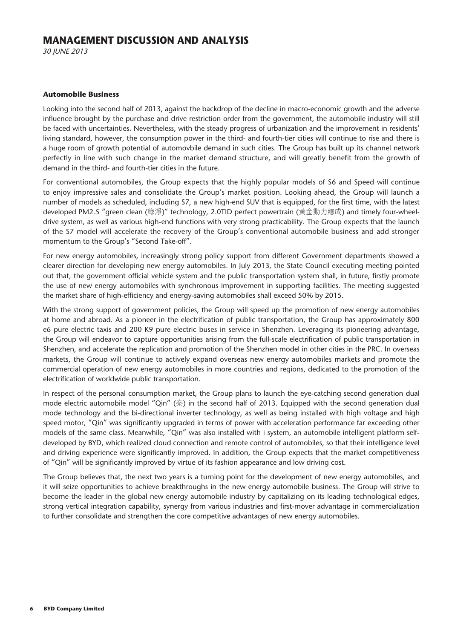30 JUNE 2013

#### **Automobile Business**

Looking into the second half of 2013, against the backdrop of the decline in macro-economic growth and the adverse influence brought by the purchase and drive restriction order from the government, the automobile industry will still be faced with uncertainties. Nevertheless, with the steady progress of urbanization and the improvement in residents' living standard, however, the consumption power in the third- and fourth-tier cities will continue to rise and there is a huge room of growth potential of automovbile demand in such cities. The Group has built up its channel network perfectly in line with such change in the market demand structure, and will greatly benefit from the growth of demand in the third- and fourth-tier cities in the future.

For conventional automobiles, the Group expects that the highly popular models of S6 and Speed will continue to enjoy impressive sales and consolidate the Group's market position. Looking ahead, the Group will launch a number of models as scheduled, including S7, a new high-end SUV that is equipped, for the first time, with the latest developed PM2.5 "green clean (綠淨)" technology, 2.0TID perfect powertrain (黃金動力總成) and timely four-wheeldrive system, as well as various high-end functions with very strong practicability. The Group expects that the launch of the S7 model will accelerate the recovery of the Group's conventional automobile business and add stronger momentum to the Group's "Second Take-off".

For new energy automobiles, increasingly strong policy support from different Government departments showed a clearer direction for developing new energy automobiles. In July 2013, the State Council executing meeting pointed out that, the government official vehicle system and the public transportation system shall, in future, firstly promote the use of new energy automobiles with synchronous improvement in supporting facilities. The meeting suggested the market share of high-efficiency and energy-saving automobiles shall exceed 50% by 2015.

With the strong support of government policies, the Group will speed up the promotion of new energy automobiles at home and abroad. As a pioneer in the electrification of public transportation, the Group has approximately 800 e6 pure electric taxis and 200 K9 pure electric buses in service in Shenzhen. Leveraging its pioneering advantage, the Group will endeavor to capture opportunities arising from the full-scale electrification of public transportation in Shenzhen, and accelerate the replication and promotion of the Shenzhen model in other cities in the PRC. In overseas markets, the Group will continue to actively expand overseas new energy automobiles markets and promote the commercial operation of new energy automobiles in more countries and regions, dedicated to the promotion of the electrification of worldwide public transportation.

In respect of the personal consumption market, the Group plans to launch the eye-catching second generation dual mode electric automobile model "Qin" (秦) in the second half of 2013. Equipped with the second generation dual mode technology and the bi-directional inverter technology, as well as being installed with high voltage and high speed motor, "Qin" was significantly upgraded in terms of power with acceleration performance far exceeding other models of the same class. Meanwhile, "Qin" was also installed with i system, an automobile intelligent platform selfdeveloped by BYD, which realized cloud connection and remote control of automobiles, so that their intelligence level and driving experience were significantly improved. In addition, the Group expects that the market competitiveness of "Qin" will be significantly improved by virtue of its fashion appearance and low driving cost.

The Group believes that, the next two years is a turning point for the development of new energy automobiles, and it will seize opportunities to achieve breakthroughs in the new energy automobile business. The Group will strive to become the leader in the global new energy automobile industry by capitalizing on its leading technological edges, strong vertical integration capability, synergy from various industries and first-mover advantage in commercialization to further consolidate and strengthen the core competitive advantages of new energy automobiles.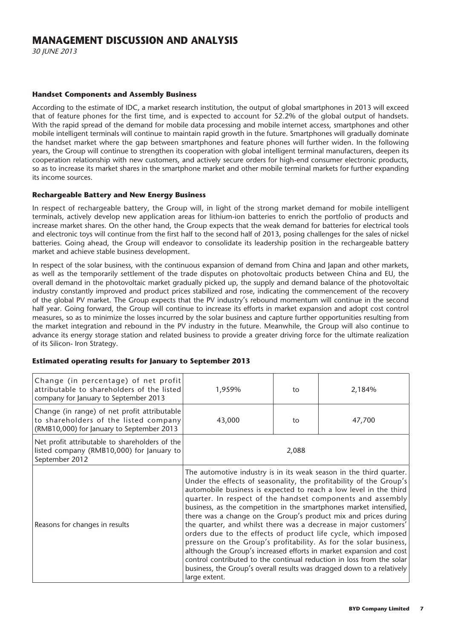30 JUNE 2013

#### **Handset Components and Assembly Business**

According to the estimate of IDC, a market research institution, the output of global smartphones in 2013 will exceed that of feature phones for the first time, and is expected to account for 52.2% of the global output of handsets. With the rapid spread of the demand for mobile data processing and mobile internet access, smartphones and other mobile intelligent terminals will continue to maintain rapid growth in the future. Smartphones will gradually dominate the handset market where the gap between smartphones and feature phones will further widen. In the following years, the Group will continue to strengthen its cooperation with global intelligent terminal manufacturers, deepen its cooperation relationship with new customers, and actively secure orders for high-end consumer electronic products, so as to increase its market shares in the smartphone market and other mobile terminal markets for further expanding its income sources.

#### **Rechargeable Battery and New Energy Business**

In respect of rechargeable battery, the Group will, in light of the strong market demand for mobile intelligent terminals, actively develop new application areas for lithium-ion batteries to enrich the portfolio of products and increase market shares. On the other hand, the Group expects that the weak demand for batteries for electrical tools and electronic toys will continue from the first half to the second half of 2013, posing challenges for the sales of nickel batteries. Going ahead, the Group will endeavor to consolidate its leadership position in the rechargeable battery market and achieve stable business development.

In respect of the solar business, with the continuous expansion of demand from China and Japan and other markets, as well as the temporarily settlement of the trade disputes on photovoltaic products between China and EU, the overall demand in the photovoltaic market gradually picked up, the supply and demand balance of the photovoltaic industry constantly improved and product prices stabilized and rose, indicating the commencement of the recovery of the global PV market. The Group expects that the PV industry's rebound momentum will continue in the second half year. Going forward, the Group will continue to increase its efforts in market expansion and adopt cost control measures, so as to minimize the losses incurred by the solar business and capture further opportunities resulting from the market integration and rebound in the PV industry in the future. Meanwhile, the Group will also continue to advance its energy storage station and related business to provide a greater driving force for the ultimate realization of its Silicon- Iron Strategy.

| Change (in percentage) of net profit<br>attributable to shareholders of the listed<br>company for January to September 2013        | 1,959%                                                                                                                                                                                                                                                                                                                                                                                                                                                                                                                                                                                                                                                                                                                                                                                                                                                                       | to | 2,184% |  |
|------------------------------------------------------------------------------------------------------------------------------------|------------------------------------------------------------------------------------------------------------------------------------------------------------------------------------------------------------------------------------------------------------------------------------------------------------------------------------------------------------------------------------------------------------------------------------------------------------------------------------------------------------------------------------------------------------------------------------------------------------------------------------------------------------------------------------------------------------------------------------------------------------------------------------------------------------------------------------------------------------------------------|----|--------|--|
| Change (in range) of net profit attributable<br>to shareholders of the listed company<br>(RMB10,000) for January to September 2013 | 43,000                                                                                                                                                                                                                                                                                                                                                                                                                                                                                                                                                                                                                                                                                                                                                                                                                                                                       | to | 47,700 |  |
| Net profit attributable to shareholders of the<br>listed company (RMB10,000) for January to<br>September 2012                      | 2,088                                                                                                                                                                                                                                                                                                                                                                                                                                                                                                                                                                                                                                                                                                                                                                                                                                                                        |    |        |  |
| Reasons for changes in results                                                                                                     | The automotive industry is in its weak season in the third quarter.<br>Under the effects of seasonality, the profitability of the Group's<br>automobile business is expected to reach a low level in the third<br>quarter. In respect of the handset components and assembly<br>business, as the competition in the smartphones market intensified,<br>there was a change on the Group's product mix and prices during<br>the quarter, and whilst there was a decrease in major customers'<br>orders due to the effects of product life cycle, which imposed<br>pressure on the Group's profitability. As for the solar business,<br>although the Group's increased efforts in market expansion and cost<br>control contributed to the continual reduction in loss from the solar<br>business, the Group's overall results was dragged down to a relatively<br>large extent. |    |        |  |

#### **Estimated operating results for January to September 2013**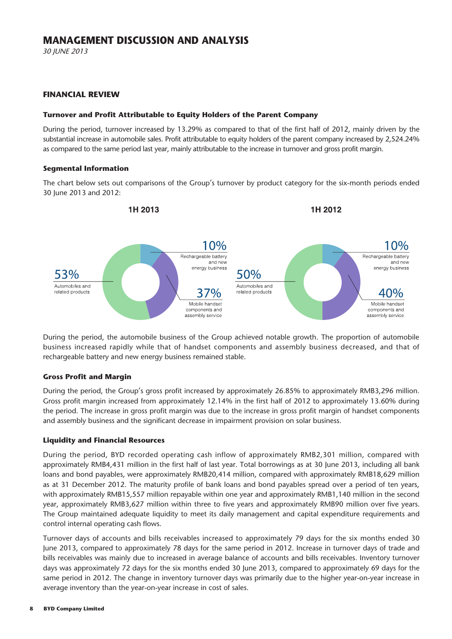30 JUNE 2013

#### **FINANCIAL REVIEW**

#### **Turnover and Profit Attributable to Equity Holders of the Parent Company**

During the period, turnover increased by 13.29% as compared to that of the first half of 2012, mainly driven by the substantial increase in automobile sales. Profit attributable to equity holders of the parent company increased by 2,524.24% as compared to the same period last year, mainly attributable to the increase in turnover and gross profit margin.

#### **Segmental Information**

The chart below sets out comparisons of the Group's turnover by product category for the six-month periods ended 30 June 2013 and 2012:



During the period, the automobile business of the Group achieved notable growth. The proportion of automobile business increased rapidly while that of handset components and assembly business decreased, and that of rechargeable battery and new energy business remained stable.

#### **Gross Profit and Margin**

During the period, the Group's gross profit increased by approximately 26.85% to approximately RMB3,296 million. Gross profit margin increased from approximately 12.14% in the first half of 2012 to approximately 13.60% during the period. The increase in gross profit margin was due to the increase in gross profit margin of handset components and assembly business and the significant decrease in impairment provision on solar business.

#### **Liquidity and Financial Resources**

During the period, BYD recorded operating cash inflow of approximately RMB2,301 million, compared with approximately RMB4,431 million in the first half of last year. Total borrowings as at 30 June 2013, including all bank loans and bond payables, were approximately RMB20,414 million, compared with approximately RMB18,629 million as at 31 December 2012. The maturity profile of bank loans and bond payables spread over a period of ten years, with approximately RMB15,557 million repayable within one year and approximately RMB1,140 million in the second year, approximately RMB3,627 million within three to five years and approximately RMB90 million over five years. The Group maintained adequate liquidity to meet its daily management and capital expenditure requirements and control internal operating cash flows.

Turnover days of accounts and bills receivables increased to approximately 79 days for the six months ended 30 June 2013, compared to approximately 78 days for the same period in 2012. Increase in turnover days of trade and bills receivables was mainly due to increased in average balance of accounts and bills receivables. Inventory turnover days was approximately 72 days for the six months ended 30 June 2013, compared to approximately 69 days for the same period in 2012. The change in inventory turnover days was primarily due to the higher year-on-year increase in average inventory than the year-on-year increase in cost of sales.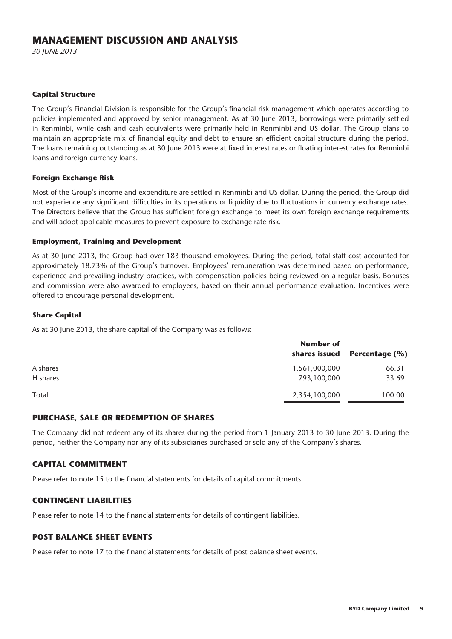30 JUNE 2013

#### **Capital Structure**

The Group's Financial Division is responsible for the Group's financial risk management which operates according to policies implemented and approved by senior management. As at 30 June 2013, borrowings were primarily settled in Renminbi, while cash and cash equivalents were primarily held in Renminbi and US dollar. The Group plans to maintain an appropriate mix of financial equity and debt to ensure an efficient capital structure during the period. The loans remaining outstanding as at 30 June 2013 were at fixed interest rates or floating interest rates for Renminbi loans and foreign currency loans.

#### **Foreign Exchange Risk**

Most of the Group's income and expenditure are settled in Renminbi and US dollar. During the period, the Group did not experience any significant difficulties in its operations or liquidity due to fluctuations in currency exchange rates. The Directors believe that the Group has sufficient foreign exchange to meet its own foreign exchange requirements and will adopt applicable measures to prevent exposure to exchange rate risk.

#### **Employment, Training and Development**

As at 30 June 2013, the Group had over 183 thousand employees. During the period, total staff cost accounted for approximately 18.73% of the Group's turnover. Employees' remuneration was determined based on performance, experience and prevailing industry practices, with compensation policies being reviewed on a regular basis. Bonuses and commission were also awarded to employees, based on their annual performance evaluation. Incentives were offered to encourage personal development.

#### **Share Capital**

As at 30 June 2013, the share capital of the Company was as follows:

|          | <b>Number of</b><br>shares issued | Percentage (%) |
|----------|-----------------------------------|----------------|
| A shares | 1,561,000,000                     | 66.31          |
| H shares | 793,100,000                       | 33.69          |
| Total    | 2,354,100,000                     | 100.00         |

#### **PURCHASE, SALE OR REDEMPTION OF SHARES**

The Company did not redeem any of its shares during the period from 1 January 2013 to 30 June 2013. During the period, neither the Company nor any of its subsidiaries purchased or sold any of the Company's shares.

#### **CAPITAL COMMITMENT**

Please refer to note 15 to the financial statements for details of capital commitments.

#### **CONTINGENT LIABILITIES**

Please refer to note 14 to the financial statements for details of contingent liabilities.

#### **POST BALANCE SHEET EVENTS**

Please refer to note 17 to the financial statements for details of post balance sheet events.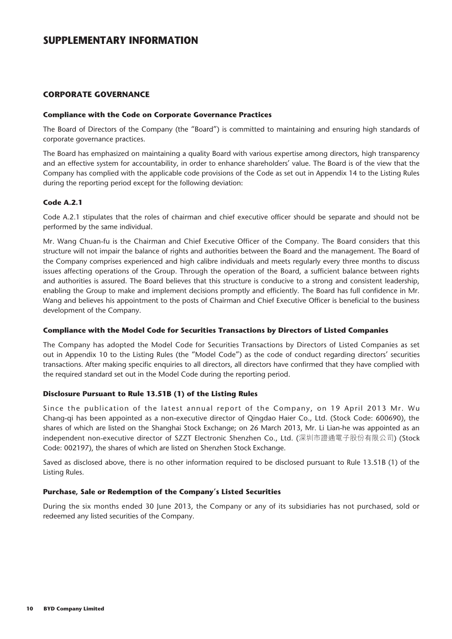#### **CORPORATE GOVERNANCE**

#### **Compliance with the Code on Corporate Governance Practices**

The Board of Directors of the Company (the "Board") is committed to maintaining and ensuring high standards of corporate governance practices.

The Board has emphasized on maintaining a quality Board with various expertise among directors, high transparency and an effective system for accountability, in order to enhance shareholders' value. The Board is of the view that the Company has complied with the applicable code provisions of the Code as set out in Appendix 14 to the Listing Rules during the reporting period except for the following deviation:

#### **Code A.2.1**

Code A.2.1 stipulates that the roles of chairman and chief executive officer should be separate and should not be performed by the same individual.

Mr. Wang Chuan-fu is the Chairman and Chief Executive Officer of the Company. The Board considers that this structure will not impair the balance of rights and authorities between the Board and the management. The Board of the Company comprises experienced and high calibre individuals and meets regularly every three months to discuss issues affecting operations of the Group. Through the operation of the Board, a sufficient balance between rights and authorities is assured. The Board believes that this structure is conducive to a strong and consistent leadership, enabling the Group to make and implement decisions promptly and efficiently. The Board has full confidence in Mr. Wang and believes his appointment to the posts of Chairman and Chief Executive Officer is beneficial to the business development of the Company.

#### **Compliance with the Model Code for Securities Transactions by Directors of Listed Companies**

The Company has adopted the Model Code for Securities Transactions by Directors of Listed Companies as set out in Appendix 10 to the Listing Rules (the "Model Code") as the code of conduct regarding directors' securities transactions. After making specific enquiries to all directors, all directors have confirmed that they have complied with the required standard set out in the Model Code during the reporting period.

#### **Disclosure Pursuant to Rule 13.51B (1) of the Listing Rules**

Since the publication of the latest annual report of the Company, on 19 April 2013 Mr. Wu Chang-qi has been appointed as a non-executive director of Qingdao Haier Co., Ltd. (Stock Code: 600690), the shares of which are listed on the Shanghai Stock Exchange; on 26 March 2013, Mr. Li Lian-he was appointed as an independent non-executive director of SZZT Electronic Shenzhen Co., Ltd. (深圳市證通電子股份有限公司) (Stock Code: 002197), the shares of which are listed on Shenzhen Stock Exchange.

Saved as disclosed above, there is no other information required to be disclosed pursuant to Rule 13.51B (1) of the Listing Rules.

#### **Purchase, Sale or Redemption of the Company's Listed Securities**

During the six months ended 30 June 2013, the Company or any of its subsidiaries has not purchased, sold or redeemed any listed securities of the Company.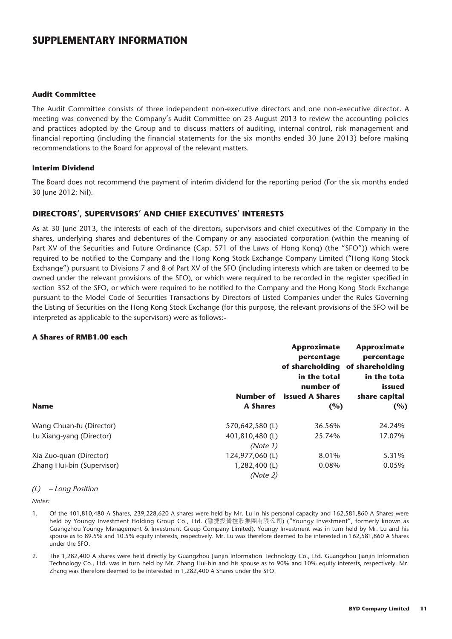#### **Audit Committee**

The Audit Committee consists of three independent non-executive directors and one non-executive director. A meeting was convened by the Company's Audit Committee on 23 August 2013 to review the accounting policies and practices adopted by the Group and to discuss matters of auditing, internal control, risk management and financial reporting (including the financial statements for the six months ended 30 June 2013) before making recommendations to the Board for approval of the relevant matters.

#### **Interim Dividend**

The Board does not recommend the payment of interim dividend for the reporting period (For the six months ended 30 June 2012: Nil).

#### **DIRECTORS', SUPERVISORS' AND CHIEF EXECUTIVES' INTERESTS**

As at 30 June 2013, the interests of each of the directors, supervisors and chief executives of the Company in the shares, underlying shares and debentures of the Company or any associated corporation (within the meaning of Part XV of the Securities and Future Ordinance (Cap. 571 of the Laws of Hong Kong) (the "SFO")) which were required to be notified to the Company and the Hong Kong Stock Exchange Company Limited ("Hong Kong Stock Exchange") pursuant to Divisions 7 and 8 of Part XV of the SFO (including interests which are taken or deemed to be owned under the relevant provisions of the SFO), or which were required to be recorded in the register specified in section 352 of the SFO, or which were required to be notified to the Company and the Hong Kong Stock Exchange pursuant to the Model Code of Securities Transactions by Directors of Listed Companies under the Rules Governing the Listing of Securities on the Hong Kong Stock Exchange (for this purpose, the relevant provisions of the SFO will be interpreted as applicable to the supervisors) were as follows:-

#### **A Shares of RMB1.00 each**

|                            |                 | <b>Approximate</b><br>percentage<br>of shareholding<br>in the total<br>number of | Approximate<br>percentage<br>of shareholding<br>in the tota<br>issued |
|----------------------------|-----------------|----------------------------------------------------------------------------------|-----------------------------------------------------------------------|
|                            | Number of       | <b>issued A Shares</b>                                                           | share capital                                                         |
| <b>Name</b>                | <b>A Shares</b> | (%)                                                                              | (%)                                                                   |
| Wang Chuan-fu (Director)   | 570,642,580 (L) | 36.56%                                                                           | 24.24%                                                                |
| Lu Xiang-yang (Director)   | 401,810,480 (L) | 25.74%                                                                           | 17.07%                                                                |
|                            | (Note 1)        |                                                                                  |                                                                       |
| Xia Zuo-quan (Director)    | 124,977,060(L)  | 8.01%                                                                            | 5.31%                                                                 |
| Zhang Hui-bin (Supervisor) | 1,282,400 (L)   | 0.08%                                                                            | 0.05%                                                                 |
|                            | (Note 2)        |                                                                                  |                                                                       |

#### (L) – Long Position

Notes:

- 1. Of the 401,810,480 A Shares, 239,228,620 A shares were held by Mr. Lu in his personal capacity and 162,581,860 A Shares were held by Youngy Investment Holding Group Co., Ltd. (融捷投資控股集團有限公司) ("Youngy Investment", formerly known as Guangzhou Youngy Management & Investment Group Company Limited). Youngy Investment was in turn held by Mr. Lu and his spouse as to 89.5% and 10.5% equity interests, respectively. Mr. Lu was therefore deemed to be interested in 162,581,860 A Shares under the SFO.
- 2. The 1,282,400 A shares were held directly by Guangzhou Jianjin Information Technology Co., Ltd. Guangzhou Jianjin Information Technology Co., Ltd. was in turn held by Mr. Zhang Hui-bin and his spouse as to 90% and 10% equity interests, respectively. Mr. Zhang was therefore deemed to be interested in 1,282,400 A Shares under the SFO.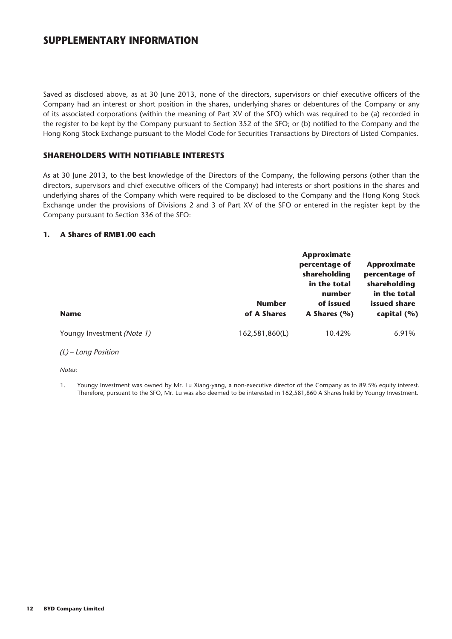Saved as disclosed above, as at 30 June 2013, none of the directors, supervisors or chief executive officers of the Company had an interest or short position in the shares, underlying shares or debentures of the Company or any of its associated corporations (within the meaning of Part XV of the SFO) which was required to be (a) recorded in the register to be kept by the Company pursuant to Section 352 of the SFO; or (b) notified to the Company and the Hong Kong Stock Exchange pursuant to the Model Code for Securities Transactions by Directors of Listed Companies.

#### **SHAREHOLDERS WITH NOTIFIABLE INTERESTS**

As at 30 June 2013, to the best knowledge of the Directors of the Company, the following persons (other than the directors, supervisors and chief executive officers of the Company) had interests or short positions in the shares and underlying shares of the Company which were required to be disclosed to the Company and the Hong Kong Stock Exchange under the provisions of Divisions 2 and 3 of Part XV of the SFO or entered in the register kept by the Company pursuant to Section 336 of the SFO:

#### **1. A Shares of RMB1.00 each**

|                            |                              | <b>Approximate</b><br>percentage of<br>shareholding<br>in the total<br>number | <b>Approximate</b><br>percentage of<br>shareholding<br>in the total |
|----------------------------|------------------------------|-------------------------------------------------------------------------------|---------------------------------------------------------------------|
| <b>Name</b>                | <b>Number</b><br>of A Shares | of issued<br>A Shares $(\% )$                                                 | issued share<br>capital $(%)$                                       |
| Youngy Investment (Note 1) | 162,581,860(L)               | 10.42%                                                                        | 6.91%                                                               |

#### (L) – Long Position

Notes:

1. Youngy Investment was owned by Mr. Lu Xiang-yang, a non-executive director of the Company as to 89.5% equity interest. Therefore, pursuant to the SFO, Mr. Lu was also deemed to be interested in 162,581,860 A Shares held by Youngy Investment.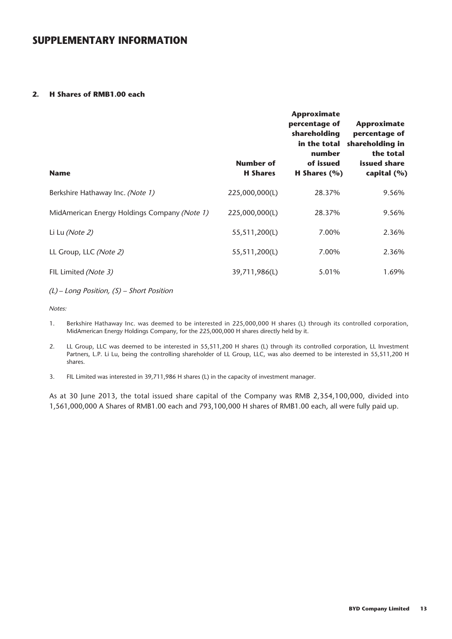#### **2. H Shares of RMB1.00 each**

| <b>Name</b>                                  | <b>Number of</b><br><b>H</b> Shares | <b>Approximate</b><br>percentage of<br>shareholding<br>in the total<br>number<br>of issued<br>H Shares $(\% )$ | Approximate<br>percentage of<br>shareholding in<br>the total<br>issued share<br>capital (%) |
|----------------------------------------------|-------------------------------------|----------------------------------------------------------------------------------------------------------------|---------------------------------------------------------------------------------------------|
| Berkshire Hathaway Inc. (Note 1)             | 225,000,000(L)                      | 28.37%                                                                                                         | 9.56%                                                                                       |
| MidAmerican Energy Holdings Company (Note 1) | 225,000,000(L)                      | 28.37%                                                                                                         | 9.56%                                                                                       |
| Li Lu (Note 2)                               | 55,511,200(L)                       | 7.00%                                                                                                          | 2.36%                                                                                       |
| LL Group, LLC (Note 2)                       | 55,511,200(L)                       | 7.00%                                                                                                          | 2.36%                                                                                       |
| FIL Limited (Note 3)                         | 39,711,986(L)                       | 5.01%                                                                                                          | 1.69%                                                                                       |

(L) – Long Position, (S) – Short Position

Notes:

- 1. Berkshire Hathaway Inc. was deemed to be interested in 225,000,000 H shares (L) through its controlled corporation, MidAmerican Energy Holdings Company, for the 225,000,000 H shares directly held by it.
- 2. LL Group, LLC was deemed to be interested in 55,511,200 H shares (L) through its controlled corporation, LL Investment Partners, L.P. Li Lu, being the controlling shareholder of LL Group, LLC, was also deemed to be interested in 55,511,200 H shares.
- 3. FIL Limited was interested in 39,711,986 H shares (L) in the capacity of investment manager.

As at 30 June 2013, the total issued share capital of the Company was RMB 2,354,100,000, divided into 1,561,000,000 A Shares of RMB1.00 each and 793,100,000 H shares of RMB1.00 each, all were fully paid up.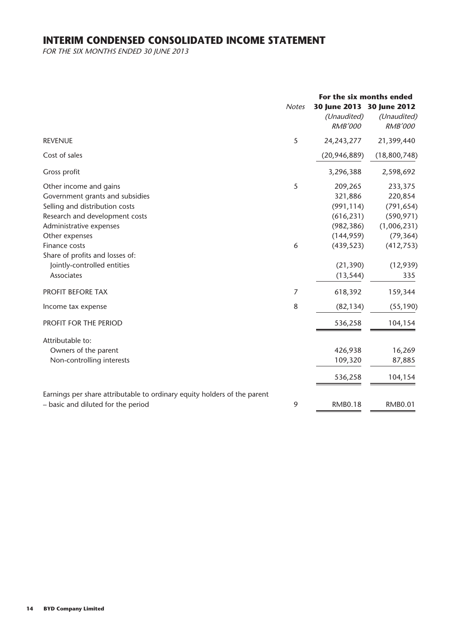# **INTERIM CONDENSED CONSOLIDATED INCOME STATEMENT**

FOR THE SIX MONTHS ENDED 30 JUNE 2013

|                                                                                                                                                                                                                                                                             | <b>Notes</b> | For the six months ended<br>30 June 2013 30 June 2012<br>(Unaudited)<br><b>RMB'000</b>                             | (Unaudited)<br><b>RMB'000</b>                                                                                |
|-----------------------------------------------------------------------------------------------------------------------------------------------------------------------------------------------------------------------------------------------------------------------------|--------------|--------------------------------------------------------------------------------------------------------------------|--------------------------------------------------------------------------------------------------------------|
| <b>REVENUE</b>                                                                                                                                                                                                                                                              | 5            | 24, 243, 277                                                                                                       | 21,399,440                                                                                                   |
| Cost of sales                                                                                                                                                                                                                                                               |              | (20, 946, 889)                                                                                                     | (18,800,748)                                                                                                 |
| Gross profit                                                                                                                                                                                                                                                                |              | 3,296,388                                                                                                          | 2,598,692                                                                                                    |
| Other income and gains<br>Government grants and subsidies<br>Selling and distribution costs<br>Research and development costs<br>Administrative expenses<br>Other expenses<br>Finance costs<br>Share of profits and losses of:<br>Jointly-controlled entities<br>Associates | 5<br>6       | 209,265<br>321,886<br>(991, 114)<br>(616, 231)<br>(982, 386)<br>(144, 959)<br>(439, 523)<br>(21, 390)<br>(13, 544) | 233,375<br>220,854<br>(791, 654)<br>(590, 971)<br>(1,006,231)<br>(79, 364)<br>(412, 753)<br>(12, 939)<br>335 |
| PROFIT BEFORE TAX                                                                                                                                                                                                                                                           | 7            | 618,392                                                                                                            | 159,344                                                                                                      |
| Income tax expense                                                                                                                                                                                                                                                          | 8            | (82, 134)                                                                                                          | (55, 190)                                                                                                    |
| PROFIT FOR THE PERIOD                                                                                                                                                                                                                                                       |              | 536,258                                                                                                            | 104,154                                                                                                      |
| Attributable to:<br>Owners of the parent<br>Non-controlling interests                                                                                                                                                                                                       |              | 426,938<br>109,320<br>536,258                                                                                      | 16,269<br>87,885<br>104,154                                                                                  |
| Earnings per share attributable to ordinary equity holders of the parent<br>- basic and diluted for the period                                                                                                                                                              | 9            | <b>RMB0.18</b>                                                                                                     | <b>RMB0.01</b>                                                                                               |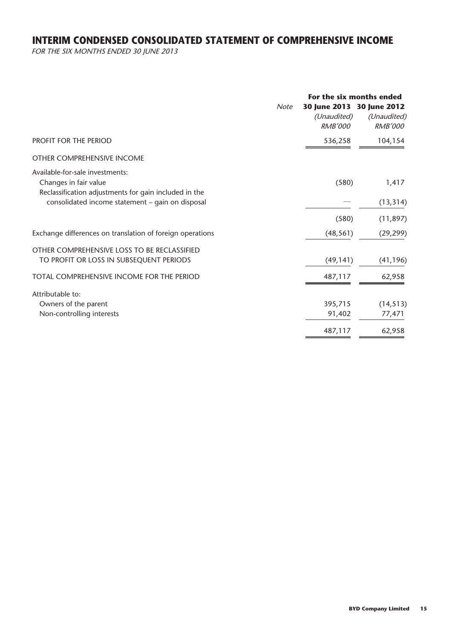# **INTERIM CONDENSED CONSOLIDATED STATEMENT OF COMPREHENSIVE INCOME**

FOR THE SIX MONTHS ENDED 30 JUNE 2013

| <b>Note</b>                                                                                                       | (Unaudited)<br><b>RMB'000</b> | For the six months ended<br>30 June 2013 30 June 2012<br>(Unaudited)<br><b>RMB'000</b> |
|-------------------------------------------------------------------------------------------------------------------|-------------------------------|----------------------------------------------------------------------------------------|
| PROFIT FOR THE PERIOD                                                                                             | 536,258                       | 104,154                                                                                |
| OTHER COMPREHENSIVE INCOME                                                                                        |                               |                                                                                        |
| Available-for-sale investments:<br>Changes in fair value<br>Reclassification adjustments for gain included in the | (580)                         | 1,417                                                                                  |
| consolidated income statement - gain on disposal                                                                  |                               | (13, 314)                                                                              |
|                                                                                                                   | (580)                         | (11, 897)                                                                              |
| Exchange differences on translation of foreign operations                                                         | (48, 561)                     | (29, 299)                                                                              |
| OTHER COMPREHENSIVE LOSS TO BE RECLASSIFIED<br>TO PROFIT OR LOSS IN SUBSEQUENT PERIODS                            | (49, 141)                     | (41, 196)                                                                              |
| TOTAL COMPREHENSIVE INCOME FOR THE PERIOD                                                                         | 487,117                       | 62,958                                                                                 |
| Attributable to:                                                                                                  |                               |                                                                                        |
| Owners of the parent                                                                                              | 395,715                       | (14, 513)                                                                              |
| Non-controlling interests                                                                                         | 91,402                        | 77,471                                                                                 |
|                                                                                                                   | 487,117                       | 62,958                                                                                 |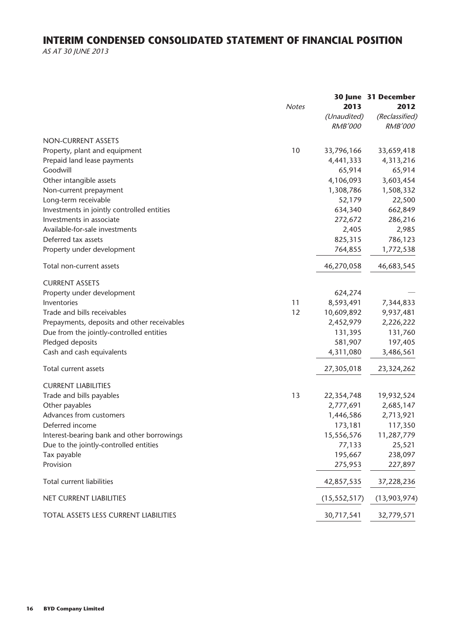# **INTERIM CONDENSED CONSOLIDATED STATEMENT OF FINANCIAL POSITION**

AS AT 30 JUNE 2013

|                                             |              |                | 30 June 31 December |
|---------------------------------------------|--------------|----------------|---------------------|
|                                             | <b>Notes</b> | 2013           | 2012                |
|                                             |              | (Unaudited)    | (Reclassified)      |
|                                             |              | <b>RMB'000</b> | <b>RMB'000</b>      |
| <b>NON-CURRENT ASSETS</b>                   |              |                |                     |
| Property, plant and equipment               | 10           | 33,796,166     | 33,659,418          |
| Prepaid land lease payments                 |              | 4,441,333      | 4,313,216           |
| Goodwill                                    |              | 65,914         | 65,914              |
| Other intangible assets                     |              | 4,106,093      | 3,603,454           |
| Non-current prepayment                      |              | 1,308,786      | 1,508,332           |
| Long-term receivable                        |              | 52,179         | 22,500              |
| Investments in jointly controlled entities  |              | 634,340        | 662,849             |
| Investments in associate                    |              | 272,672        | 286,216             |
| Available-for-sale investments              |              | 2,405          | 2,985               |
| Deferred tax assets                         |              | 825,315        | 786,123             |
| Property under development                  |              | 764,855        | 1,772,538           |
| Total non-current assets                    |              | 46,270,058     | 46,683,545          |
| <b>CURRENT ASSETS</b>                       |              |                |                     |
| Property under development                  |              | 624,274        |                     |
| Inventories                                 | 11           | 8,593,491      | 7,344,833           |
| Trade and bills receivables                 | 12           | 10,609,892     | 9,937,481           |
| Prepayments, deposits and other receivables |              | 2,452,979      | 2,226,222           |
| Due from the jointly-controlled entities    |              | 131,395        | 131,760             |
| Pledged deposits                            |              | 581,907        | 197,405             |
| Cash and cash equivalents                   |              | 4,311,080      | 3,486,561           |
| Total current assets                        |              | 27,305,018     | 23,324,262          |
| <b>CURRENT LIABILITIES</b>                  |              |                |                     |
| Trade and bills payables                    | 13           | 22,354,748     | 19,932,524          |
| Other payables                              |              | 2,777,691      | 2,685,147           |
| Advances from customers                     |              | 1,446,586      | 2,713,921           |
| Deferred income                             |              | 173,181        | 117,350             |
| Interest-bearing bank and other borrowings  |              | 15,556,576     | 11,287,779          |
| Due to the jointly-controlled entities      |              | 77,133         | 25,521              |
| Tax payable                                 |              | 195,667        | 238,097             |
| Provision                                   |              | 275,953        | 227,897             |
| <b>Total current liabilities</b>            |              | 42,857,535     | 37,228,236          |
| <b>NET CURRENT LIABILITIES</b>              |              | (15, 552, 517) | (13,903,974)        |
| TOTAL ASSETS LESS CURRENT LIABILITIES       |              | 30,717,541     | 32,779,571          |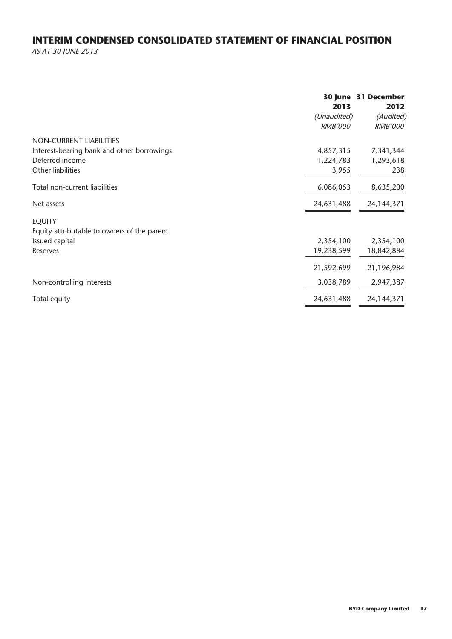# **INTERIM CONDENSED CONSOLIDATED STATEMENT OF FINANCIAL POSITION**

AS AT 30 JUNE 2013

|                                             | 2013           | 30 June 31 December<br>2012 |
|---------------------------------------------|----------------|-----------------------------|
|                                             | (Unaudited)    | (Audited)                   |
|                                             | <b>RMB'000</b> | <b>RMB'000</b>              |
| NON-CURRENT LIABILITIES                     |                |                             |
| Interest-bearing bank and other borrowings  | 4,857,315      | 7,341,344                   |
| Deferred income                             | 1,224,783      | 1,293,618                   |
| Other liabilities                           | 3,955          | 238                         |
| Total non-current liabilities               | 6,086,053      | 8,635,200                   |
| Net assets                                  | 24,631,488     | 24, 144, 371                |
| <b>EQUITY</b>                               |                |                             |
| Equity attributable to owners of the parent |                |                             |
| Issued capital                              | 2,354,100      | 2,354,100                   |
| Reserves                                    | 19,238,599     | 18,842,884                  |
|                                             | 21,592,699     | 21,196,984                  |
| Non-controlling interests                   | 3,038,789      | 2,947,387                   |
| Total equity                                | 24,631,488     | 24, 144, 371                |
|                                             |                |                             |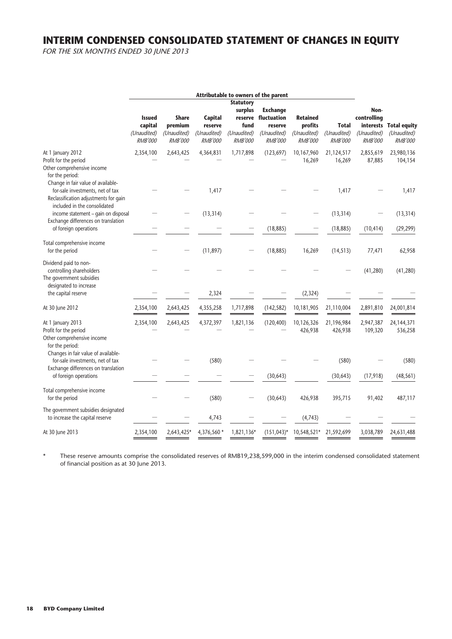# **INTERIM CONDENSED CONSOLIDATED STATEMENT OF CHANGES IN EQUITY**

FOR THE SIX MONTHS ENDED 30 JUNE 2013

|                                                                                                                                                 |                                                           |                                                          |                                                            |                                                                      | Attributable to owners of the parent                                               |                                                             |                                               |                                                      |                                                  |
|-------------------------------------------------------------------------------------------------------------------------------------------------|-----------------------------------------------------------|----------------------------------------------------------|------------------------------------------------------------|----------------------------------------------------------------------|------------------------------------------------------------------------------------|-------------------------------------------------------------|-----------------------------------------------|------------------------------------------------------|--------------------------------------------------|
|                                                                                                                                                 | <b>Issued</b><br>capital<br>(Unaudited)<br><b>RMB'000</b> | <b>Share</b><br>premium<br>(Unaudited)<br><b>RMB'000</b> | <b>Capital</b><br>reserve<br>(Unaudited)<br><b>RMB'000</b> | <b>Statutory</b><br>surplus<br>fund<br>(Unaudited)<br><b>RMB'000</b> | <b>Exchange</b><br>reserve fluctuation<br>reserve<br>(Unaudited)<br><b>RMB'000</b> | <b>Retained</b><br>profits<br>(Unaudited)<br><b>RMB'000</b> | <b>Total</b><br>(Unaudited)<br><b>RMB'000</b> | Non-<br>controlling<br>(Unaudited)<br><b>RMB'000</b> | interests Total equity<br>(Unaudited)<br>RMB'000 |
| At 1 January 2012<br>Profit for the period<br>Other comprehensive income<br>for the period:                                                     | 2,354,100                                                 | 2,643,425                                                | 4,364,831                                                  | 1,717,898                                                            | (123, 697)                                                                         | 10,167,960<br>16,269                                        | 21,124,517<br>16,269                          | 2,855,619<br>87,885                                  | 23,980,136<br>104,154                            |
| Change in fair value of available-<br>for-sale investments, net of tax<br>Reclassification adjustments for gain<br>included in the consolidated |                                                           |                                                          | 1,417                                                      |                                                                      |                                                                                    |                                                             | 1,417                                         |                                                      | 1,417                                            |
| income statement - gain on disposal                                                                                                             |                                                           |                                                          | (13, 314)                                                  |                                                                      |                                                                                    |                                                             | (13, 314)                                     |                                                      | (13, 314)                                        |
| Exchange differences on translation<br>of foreign operations                                                                                    |                                                           |                                                          |                                                            |                                                                      | (18, 885)                                                                          |                                                             | (18, 885)                                     | (10, 414)                                            | (29, 299)                                        |
| Total comprehensive income<br>for the period                                                                                                    |                                                           |                                                          | (11, 897)                                                  |                                                                      | (18, 885)                                                                          | 16,269                                                      | (14, 513)                                     | 77,471                                               | 62,958                                           |
| Dividend paid to non-<br>controlling shareholders<br>The government subsidies<br>designated to increase                                         |                                                           |                                                          |                                                            |                                                                      |                                                                                    |                                                             |                                               | (41, 280)                                            | (41, 280)                                        |
| the capital reserve                                                                                                                             |                                                           |                                                          | 2,324                                                      |                                                                      |                                                                                    | (2, 324)                                                    |                                               |                                                      |                                                  |
| At 30 June 2012                                                                                                                                 | 2,354,100                                                 | 2,643,425                                                | 4,355,258                                                  | 1,717,898                                                            | (142, 582)                                                                         | 10,181,905                                                  | 21,110,004                                    | 2,891,810                                            | 24,001,814                                       |
| At 1 January 2013<br>Profit for the period<br>Other comprehensive income<br>for the period:                                                     | 2,354,100                                                 | 2,643,425                                                | 4,372,397                                                  | 1,821,136                                                            | (120, 400)                                                                         | 10,126,326<br>426,938                                       | 21,196,984<br>426,938                         | 2,947,387<br>109,320                                 | 24, 144, 371<br>536,258                          |
| Changes in fair value of available-<br>for-sale investments, net of tax<br>Exchange differences on translation                                  |                                                           |                                                          | (580)                                                      |                                                                      |                                                                                    |                                                             | (580)                                         |                                                      | (580)                                            |
| of foreign operations                                                                                                                           |                                                           |                                                          |                                                            |                                                                      | (30, 643)                                                                          |                                                             | (30, 643)                                     | (17, 918)                                            | (48, 561)                                        |
| Total comprehensive income<br>for the period                                                                                                    |                                                           |                                                          | (580)                                                      |                                                                      | (30, 643)                                                                          | 426,938                                                     | 395,715                                       | 91,402                                               | 487,117                                          |
| The government subsidies designated<br>to increase the capital reserve                                                                          |                                                           |                                                          | 4,743                                                      |                                                                      |                                                                                    | (4, 743)                                                    |                                               |                                                      |                                                  |
| At 30 June 2013                                                                                                                                 | 2,354,100                                                 | 2,643,425*                                               | 4,376,560 *                                                | 1,821,136*                                                           | $(151, 043)^*$                                                                     | 10,548,521*                                                 | 21,592,699                                    | 3,038,789                                            | 24,631,488                                       |

\* These reserve amounts comprise the consolidated reserves of RMB19,238,599,000 in the interim condensed consolidated statement of financial position as at 30 June 2013.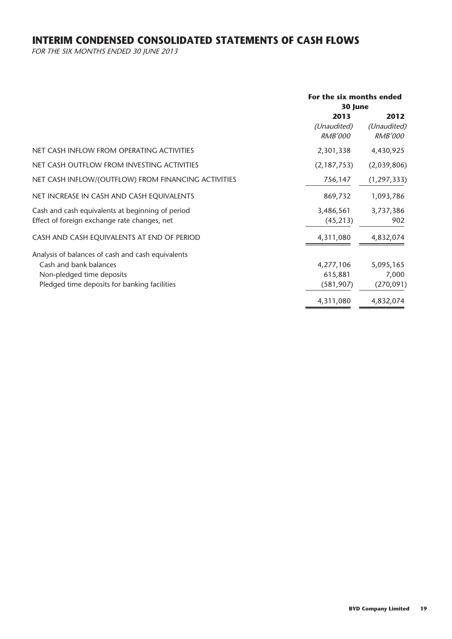# **INTERIM CONDENSED CONSOLIDATED STATEMENTS OF CASH FLOWS**

FOR THE SIX MONTHS ENDED 30 JUNE 2013

|                                                     | For the six months ended |                |  |
|-----------------------------------------------------|--------------------------|----------------|--|
|                                                     | 30 June                  |                |  |
|                                                     | 2013                     | 2012           |  |
|                                                     | (Unaudited)              | (Unaudited)    |  |
|                                                     | <b>RMB'000</b>           | <i>RMB'000</i> |  |
| NET CASH INFLOW FROM OPERATING ACTIVITIES           | 2,301,338                | 4,430,925      |  |
| NET CASH OUTFLOW FROM INVESTING ACTIVITIES          | (2, 187, 753)            | (2,039,806)    |  |
| NET CASH INFLOW/(OUTFLOW) FROM FINANCING ACTIVITIES | 756,147                  | (1, 297, 333)  |  |
| NET INCREASE IN CASH AND CASH EQUIVALENTS           | 869,732                  | 1,093,786      |  |
| Cash and cash equivalents at beginning of period    | 3,486,561                | 3,737,386      |  |
| Effect of foreign exchange rate changes, net        | (45, 213)                | 902            |  |
| CASH AND CASH EQUIVALENTS AT END OF PERIOD          | 4,311,080                | 4,832,074      |  |
| Analysis of balances of cash and cash equivalents   |                          |                |  |
| Cash and bank balances                              | 4,277,106                | 5,095,165      |  |
| Non-pledged time deposits                           | 615,881                  | 7,000          |  |
| Pledged time deposits for banking facilities        | (581, 907)               | (270, 091)     |  |
|                                                     | 4,311,080                | 4,832,074      |  |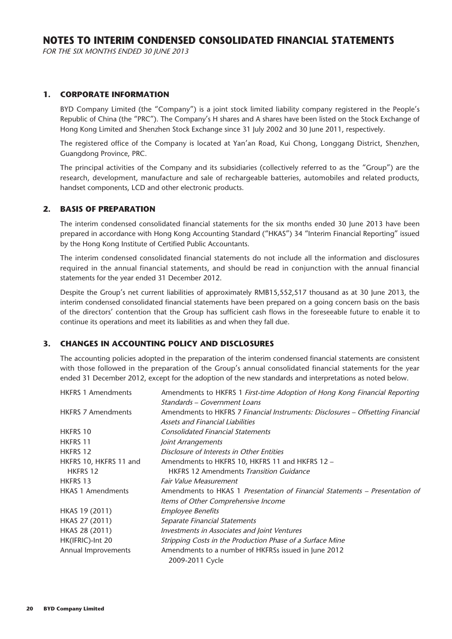FOR THE SIX MONTHS ENDED 30 JUNE 2013

#### **1. CORPORATE INFORMATION**

BYD Company Limited (the "Company") is a joint stock limited liability company registered in the People's Republic of China (the "PRC"). The Company's H shares and A shares have been listed on the Stock Exchange of Hong Kong Limited and Shenzhen Stock Exchange since 31 July 2002 and 30 June 2011, respectively.

The registered office of the Company is located at Yan'an Road, Kui Chong, Longgang District, Shenzhen, Guangdong Province, PRC.

The principal activities of the Company and its subsidiaries (collectively referred to as the "Group") are the research, development, manufacture and sale of rechargeable batteries, automobiles and related products, handset components, LCD and other electronic products.

#### **2. BASIS OF PREPARATION**

The interim condensed consolidated financial statements for the six months ended 30 June 2013 have been prepared in accordance with Hong Kong Accounting Standard ("HKAS") 34 "Interim Financial Reporting" issued by the Hong Kong Institute of Certified Public Accountants.

The interim condensed consolidated financial statements do not include all the information and disclosures required in the annual financial statements, and should be read in conjunction with the annual financial statements for the year ended 31 December 2012.

Despite the Group's net current liabilities of approximately RMB15,552,517 thousand as at 30 June 2013, the interim condensed consolidated financial statements have been prepared on a going concern basis on the basis of the directors' contention that the Group has sufficient cash flows in the foreseeable future to enable it to continue its operations and meet its liabilities as and when they fall due.

#### **3. CHANGES IN ACCOUNTING POLICY AND DISCLOSURES**

The accounting policies adopted in the preparation of the interim condensed financial statements are consistent with those followed in the preparation of the Group's annual consolidated financial statements for the year ended 31 December 2012, except for the adoption of the new standards and interpretations as noted below.

| <b>HKFRS 1 Amendments</b> | Amendments to HKFRS 1 First-time Adoption of Hong Kong Financial Reporting      |
|---------------------------|---------------------------------------------------------------------------------|
|                           | Standards – Government Loans                                                    |
| <b>HKFRS 7 Amendments</b> | Amendments to HKFRS 7 Financial Instruments: Disclosures – Offsetting Financial |
|                           | Assets and Financial Liabilities                                                |
| <b>HKFRS 10</b>           | <b>Consolidated Financial Statements</b>                                        |
| <b>HKFRS 11</b>           | Joint Arrangements                                                              |
| <b>HKFRS 12</b>           | Disclosure of Interests in Other Entities                                       |
| HKFRS 10, HKFRS 11 and    | Amendments to HKFRS 10, HKFRS 11 and HKFRS 12 -                                 |
| <b>HKFRS 12</b>           | <b>HKFRS 12 Amendments Transition Guidance</b>                                  |
| <b>HKFRS 13</b>           | Fair Value Measurement                                                          |
| <b>HKAS 1 Amendments</b>  | Amendments to HKAS 1 Presentation of Financial Statements – Presentation of     |
|                           | Items of Other Comprehensive Income                                             |
| HKAS 19 (2011)            | <b>Employee Benefits</b>                                                        |
| HKAS 27 (2011)            | Separate Financial Statements                                                   |
| HKAS 28 (2011)            | Investments in Associates and Joint Ventures                                    |
| HK(IFRIC)-Int 20          | Stripping Costs in the Production Phase of a Surface Mine                       |
| Annual Improvements       | Amendments to a number of HKFRSs issued in June 2012                            |
|                           | 2009-2011 Cycle                                                                 |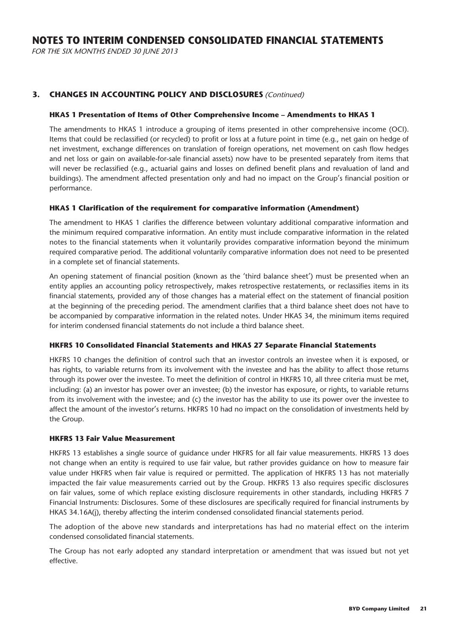FOR THE SIX MONTHS ENDED 30 JUNE 2013

#### **3. CHANGES IN ACCOUNTING POLICY AND DISCLOSURES** (Continued)

#### **HKAS 1 Presentation of Items of Other Comprehensive Income – Amendments to HKAS 1**

The amendments to HKAS 1 introduce a grouping of items presented in other comprehensive income (OCI). Items that could be reclassified (or recycled) to profit or loss at a future point in time (e.g., net gain on hedge of net investment, exchange differences on translation of foreign operations, net movement on cash flow hedges and net loss or gain on available-for-sale financial assets) now have to be presented separately from items that will never be reclassified (e.g., actuarial gains and losses on defined benefit plans and revaluation of land and buildings). The amendment affected presentation only and had no impact on the Group's financial position or performance.

#### **HKAS 1 Clarification of the requirement for comparative information (Amendment)**

The amendment to HKAS 1 clarifies the difference between voluntary additional comparative information and the minimum required comparative information. An entity must include comparative information in the related notes to the financial statements when it voluntarily provides comparative information beyond the minimum required comparative period. The additional voluntarily comparative information does not need to be presented in a complete set of financial statements.

An opening statement of financial position (known as the 'third balance sheet') must be presented when an entity applies an accounting policy retrospectively, makes retrospective restatements, or reclassifies items in its financial statements, provided any of those changes has a material effect on the statement of financial position at the beginning of the preceding period. The amendment clarifies that a third balance sheet does not have to be accompanied by comparative information in the related notes. Under HKAS 34, the minimum items required for interim condensed financial statements do not include a third balance sheet.

#### **HKFRS 10 Consolidated Financial Statements and HKAS 27 Separate Financial Statements**

HKFRS 10 changes the definition of control such that an investor controls an investee when it is exposed, or has rights, to variable returns from its involvement with the investee and has the ability to affect those returns through its power over the investee. To meet the definition of control in HKFRS 10, all three criteria must be met, including: (a) an investor has power over an investee; (b) the investor has exposure, or rights, to variable returns from its involvement with the investee; and (c) the investor has the ability to use its power over the investee to affect the amount of the investor's returns. HKFRS 10 had no impact on the consolidation of investments held by the Group.

#### **HKFRS 13 Fair Value Measurement**

HKFRS 13 establishes a single source of guidance under HKFRS for all fair value measurements. HKFRS 13 does not change when an entity is required to use fair value, but rather provides guidance on how to measure fair value under HKFRS when fair value is required or permitted. The application of HKFRS 13 has not materially impacted the fair value measurements carried out by the Group. HKFRS 13 also requires specific disclosures on fair values, some of which replace existing disclosure requirements in other standards, including HKFRS 7 Financial Instruments: Disclosures. Some of these disclosures are specifically required for financial instruments by HKAS 34.16A(j), thereby affecting the interim condensed consolidated financial statements period.

The adoption of the above new standards and interpretations has had no material effect on the interim condensed consolidated financial statements.

The Group has not early adopted any standard interpretation or amendment that was issued but not yet effective.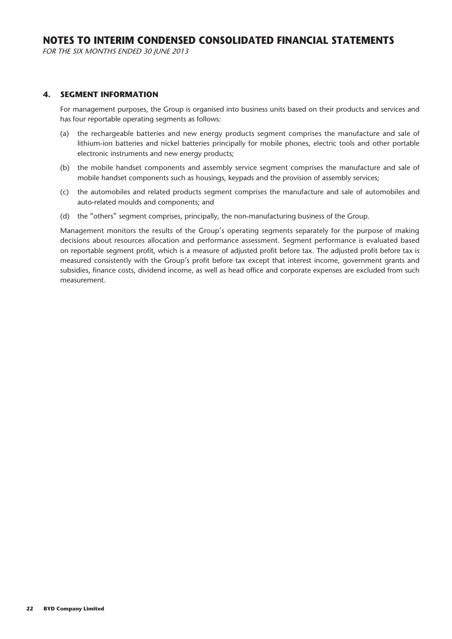FOR THE SIX MONTHS ENDED 30 JUNE 2013

#### **4. SEGMENT INFORMATION**

For management purposes, the Group is organised into business units based on their products and services and has four reportable operating segments as follows:

- (a) the rechargeable batteries and new energy products segment comprises the manufacture and sale of lithium-ion batteries and nickel batteries principally for mobile phones, electric tools and other portable electronic instruments and new energy products;
- (b) the mobile handset components and assembly service segment comprises the manufacture and sale of mobile handset components such as housings, keypads and the provision of assembly services;
- (c) the automobiles and related products segment comprises the manufacture and sale of automobiles and auto-related moulds and components; and
- (d) the "others" segment comprises, principally, the non-manufacturing business of the Group.

Management monitors the results of the Group's operating segments separately for the purpose of making decisions about resources allocation and performance assessment. Segment performance is evaluated based on reportable segment profit, which is a measure of adjusted profit before tax. The adjusted profit before tax is measured consistently with the Group's profit before tax except that interest income, government grants and subsidies, finance costs, dividend income, as well as head office and corporate expenses are excluded from such measurement.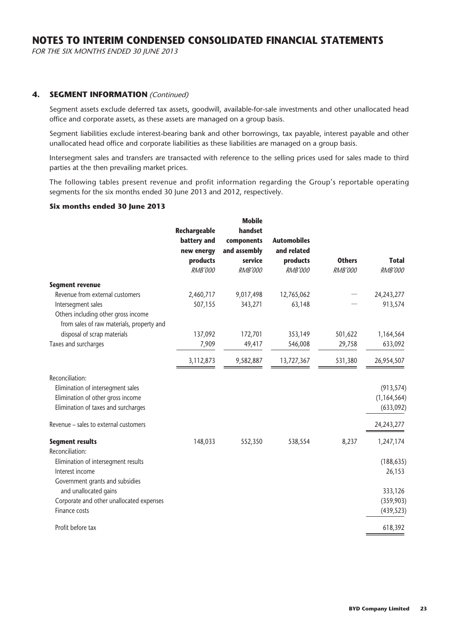FOR THE SIX MONTHS ENDED 30 JUNE 2013

#### **4. SEGMENT INFORMATION** (Continued)

Segment assets exclude deferred tax assets, goodwill, available-for-sale investments and other unallocated head office and corporate assets, as these assets are managed on a group basis.

Segment liabilities exclude interest-bearing bank and other borrowings, tax payable, interest payable and other unallocated head office and corporate liabilities as these liabilities are managed on a group basis.

Intersegment sales and transfers are transacted with reference to the selling prices used for sales made to third parties at the then prevailing market prices.

The following tables present revenue and profit information regarding the Group's reportable operating segments for the six months ended 30 June 2013 and 2012, respectively.

#### **Six months ended 30 June 2013**

|                                                                                                                                  | <b>Rechargeable</b><br>battery and<br>new energy<br>products<br><b>RMB'000</b> | <b>Mobile</b><br>handset<br>components<br>and assembly<br>service<br><b>RMB'000</b> | <b>Automobiles</b><br>and related<br>products<br><b>RMB'000</b> | <b>Others</b><br><b>RMB'000</b> | <b>Total</b><br><b>RMB'000</b>           |
|----------------------------------------------------------------------------------------------------------------------------------|--------------------------------------------------------------------------------|-------------------------------------------------------------------------------------|-----------------------------------------------------------------|---------------------------------|------------------------------------------|
| <b>Segment revenue</b>                                                                                                           |                                                                                |                                                                                     |                                                                 |                                 |                                          |
| Revenue from external customers                                                                                                  | 2,460,717                                                                      | 9,017,498                                                                           | 12,765,062                                                      |                                 | 24, 243, 277                             |
| Intersegment sales                                                                                                               | 507,155                                                                        | 343,271                                                                             | 63,148                                                          |                                 | 913,574                                  |
| Others including other gross income                                                                                              |                                                                                |                                                                                     |                                                                 |                                 |                                          |
| from sales of raw materials, property and                                                                                        |                                                                                |                                                                                     |                                                                 |                                 |                                          |
| disposal of scrap materials                                                                                                      | 137,092                                                                        | 172,701                                                                             | 353,149                                                         | 501,622                         | 1,164,564                                |
| Taxes and surcharges                                                                                                             | 7,909                                                                          | 49,417                                                                              | 546,008                                                         | 29,758                          | 633,092                                  |
|                                                                                                                                  | 3,112,873                                                                      | 9,582,887                                                                           | 13,727,367                                                      | 531,380                         | 26,954,507                               |
| Reconciliation:<br>Elimination of intersegment sales<br>Elimination of other gross income<br>Elimination of taxes and surcharges |                                                                                |                                                                                     |                                                                 |                                 | (913, 574)<br>(1, 164, 564)<br>(633,092) |
| Revenue - sales to external customers                                                                                            |                                                                                |                                                                                     |                                                                 |                                 | 24,243,277                               |
| <b>Segment results</b><br>Reconciliation:                                                                                        | 148,033                                                                        | 552,350                                                                             | 538,554                                                         | 8,237                           | 1,247,174                                |
| Elimination of intersegment results                                                                                              |                                                                                |                                                                                     |                                                                 |                                 | (188, 635)                               |
| Interest income                                                                                                                  |                                                                                |                                                                                     |                                                                 |                                 | 26,153                                   |
| Government grants and subsidies<br>and unallocated gains<br>Corporate and other unallocated expenses<br>Finance costs            |                                                                                |                                                                                     |                                                                 |                                 | 333,126<br>(359, 903)<br>(439, 523)      |
| Profit before tax                                                                                                                |                                                                                |                                                                                     |                                                                 |                                 | 618,392                                  |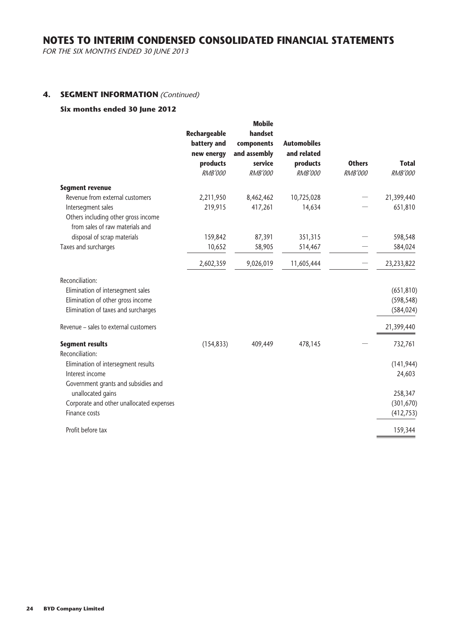FOR THE SIX MONTHS ENDED 30 JUNE 2013

#### **4. SEGMENT INFORMATION** (Continued)

#### **Six months ended 30 June 2012**

|                                           |                             | <b>Mobile</b>         |                    |                |                |
|-------------------------------------------|-----------------------------|-----------------------|--------------------|----------------|----------------|
|                                           | Rechargeable<br>battery and | handset<br>components | <b>Automobiles</b> |                |                |
|                                           | new energy                  | and assembly          | and related        |                |                |
|                                           | products                    | service               | products           | <b>Others</b>  | <b>Total</b>   |
|                                           | <b>RMB'000</b>              | <b>RMB'000</b>        | <b>RMB'000</b>     | <b>RMB'000</b> | <b>RMB'000</b> |
| <b>Segment revenue</b>                    |                             |                       |                    |                |                |
| Revenue from external customers           | 2,211,950                   | 8,462,462             | 10,725,028         |                | 21,399,440     |
| Intersegment sales                        | 219,915                     | 417,261               | 14,634             |                | 651,810        |
| Others including other gross income       |                             |                       |                    |                |                |
| from sales of raw materials and           |                             |                       |                    |                |                |
| disposal of scrap materials               | 159,842                     | 87,391                | 351,315            |                | 598,548        |
| Taxes and surcharges                      | 10,652                      | 58,905                | 514,467            |                | 584,024        |
|                                           | 2,602,359                   | 9,026,019             | 11,605,444         |                | 23,233,822     |
| Reconciliation:                           |                             |                       |                    |                |                |
| Elimination of intersegment sales         |                             |                       |                    |                | (651, 810)     |
| Elimination of other gross income         |                             |                       |                    |                | (598, 548)     |
| Elimination of taxes and surcharges       |                             |                       |                    |                | (584, 024)     |
| Revenue - sales to external customers     |                             |                       |                    |                | 21,399,440     |
| <b>Segment results</b><br>Reconciliation: | (154, 833)                  | 409,449               | 478,145            |                | 732,761        |
| Elimination of intersegment results       |                             |                       |                    |                | (141, 944)     |
| Interest income                           |                             |                       |                    |                | 24,603         |
| Government grants and subsidies and       |                             |                       |                    |                |                |
| unallocated gains                         |                             |                       |                    |                | 258,347        |
| Corporate and other unallocated expenses  |                             |                       |                    |                | (301, 670)     |
| Finance costs                             |                             |                       |                    |                | (412, 753)     |
| Profit before tax                         |                             |                       |                    |                | 159,344        |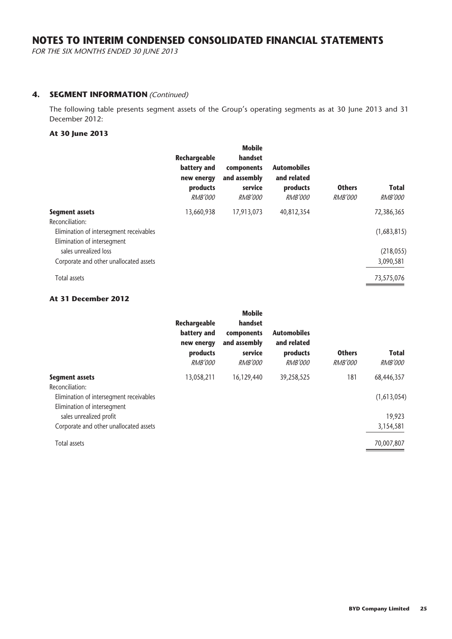FOR THE SIX MONTHS ENDED 30 JUNE 2013

#### **4. SEGMENT INFORMATION** (Continued)

The following table presents segment assets of the Group's operating segments as at 30 June 2013 and 31 December 2012:

#### **At 30 June 2013**

| 72,386,365  |
|-------------|
|             |
|             |
| (1,683,815) |
| (218, 055)  |
| 3,090,581   |
|             |

#### **At 31 December 2012**

|                                                                        | Rechargeable<br>battery and<br>new energy<br>products<br><i>RMB'000</i> | <b>Mobile</b><br>handset<br>components<br>and assembly<br>service<br><i>RMB'000</i> | <b>Automobiles</b><br>and related<br>products<br><i>RMB'000</i> | <b>Others</b><br><i>RMB'000</i> | <b>Total</b><br><b>RMB'000</b> |
|------------------------------------------------------------------------|-------------------------------------------------------------------------|-------------------------------------------------------------------------------------|-----------------------------------------------------------------|---------------------------------|--------------------------------|
| <b>Segment assets</b>                                                  | 13,058,211                                                              | 16,129,440                                                                          | 39,258,525                                                      | 181                             | 68,446,357                     |
| Reconciliation:                                                        |                                                                         |                                                                                     |                                                                 |                                 |                                |
| Elimination of intersegment receivables<br>Elimination of intersegment |                                                                         |                                                                                     |                                                                 |                                 | (1,613,054)                    |
| sales unrealized profit                                                |                                                                         |                                                                                     |                                                                 |                                 | 19,923                         |
| Corporate and other unallocated assets                                 |                                                                         |                                                                                     |                                                                 |                                 | 3,154,581                      |
| <b>Total assets</b>                                                    |                                                                         |                                                                                     |                                                                 |                                 | 70,007,807                     |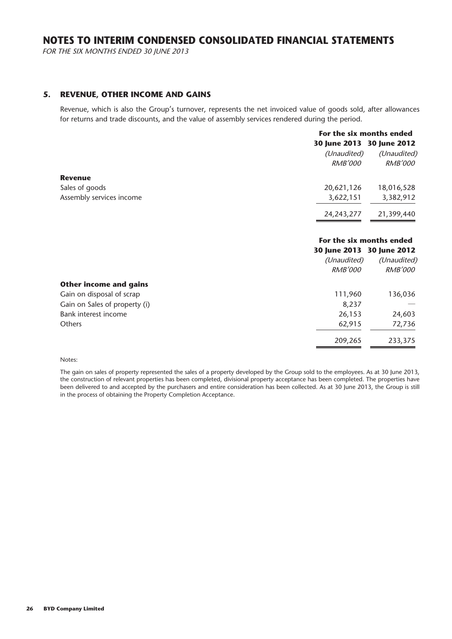FOR THE SIX MONTHS ENDED 30 JUNE 2013

#### **5. REVENUE, OTHER INCOME AND GAINS**

Revenue, which is also the Group's turnover, represents the net invoiced value of goods sold, after allowances for returns and trade discounts, and the value of assembly services rendered during the period.

|                          |                | For the six months ended  |  |  |
|--------------------------|----------------|---------------------------|--|--|
|                          |                | 30 June 2013 30 June 2012 |  |  |
|                          | (Unaudited)    | (Unaudited)               |  |  |
|                          | <i>RMB'000</i> | <i>RMB'000</i>            |  |  |
| <b>Revenue</b>           |                |                           |  |  |
| Sales of goods           | 20,621,126     | 18,016,528                |  |  |
| Assembly services income | 3,622,151      | 3,382,912                 |  |  |
|                          | 24, 243, 277   | 21,399,440                |  |  |

#### **For the six months ended 30 June 2013 30 June 2012**

|                               |                | 30 June 2013 30 June 2012 |
|-------------------------------|----------------|---------------------------|
|                               | (Unaudited)    | (Unaudited)               |
|                               | <b>RMB'000</b> | <b>RMB'000</b>            |
| <b>Other income and gains</b> |                |                           |
| Gain on disposal of scrap     | 111,960        | 136,036                   |
| Gain on Sales of property (i) | 8,237          |                           |
| Bank interest income          | 26,153         | 24,603                    |
| <b>Others</b>                 | 62,915         | 72,736                    |
|                               | 209,265        | 233,375                   |
|                               |                |                           |

#### Notes:

The gain on sales of property represented the sales of a property developed by the Group sold to the employees. As at 30 June 2013, the construction of relevant properties has been completed, divisional property acceptance has been completed. The properties have been delivered to and accepted by the purchasers and entire consideration has been collected. As at 30 June 2013, the Group is still in the process of obtaining the Property Completion Acceptance.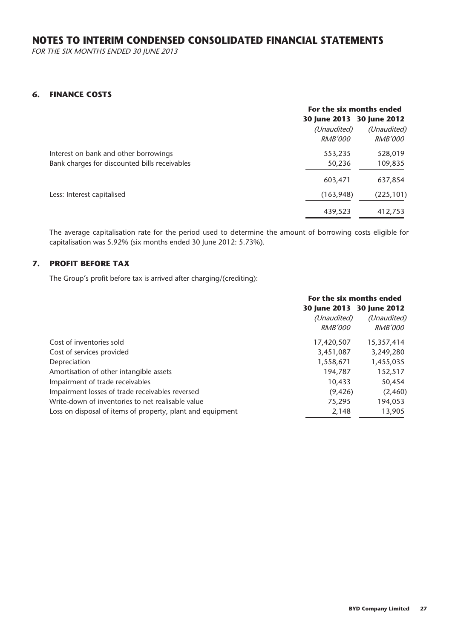FOR THE SIX MONTHS ENDED 30 JUNE 2013

#### **6. FINANCE COSTS**

|                                               | For the six months ended  |                |  |
|-----------------------------------------------|---------------------------|----------------|--|
|                                               | 30 June 2013 30 June 2012 |                |  |
|                                               | (Unaudited)               | (Unaudited)    |  |
|                                               | <i>RMB'000</i>            | <i>RMB'000</i> |  |
| Interest on bank and other borrowings         | 553,235                   | 528,019        |  |
| Bank charges for discounted bills receivables | 50,236                    | 109,835        |  |
|                                               | 603,471                   | 637,854        |  |
| Less: Interest capitalised                    | (163, 948)                | (225, 101)     |  |
|                                               | 439,523                   | 412,753        |  |

The average capitalisation rate for the period used to determine the amount of borrowing costs eligible for capitalisation was 5.92% (six months ended 30 June 2012: 5.73%).

# **7. PROFIT BEFORE TAX**

The Group's profit before tax is arrived after charging/(crediting):

|                                                            | For the six months ended |                           |
|------------------------------------------------------------|--------------------------|---------------------------|
|                                                            |                          | 30 June 2013 30 June 2012 |
|                                                            | (Unaudited)              | (Unaudited)               |
|                                                            | <i>RMB'000</i>           | <i>RMB'000</i>            |
| Cost of inventories sold                                   | 17,420,507               | 15,357,414                |
| Cost of services provided                                  | 3,451,087                | 3,249,280                 |
| Depreciation                                               | 1,558,671                | 1,455,035                 |
| Amortisation of other intangible assets                    | 194,787                  | 152,517                   |
| Impairment of trade receivables                            | 10,433                   | 50,454                    |
| Impairment losses of trade receivables reversed            | (9, 426)                 | (2,460)                   |
| Write-down of inventories to net realisable value          | 75,295                   | 194,053                   |
| Loss on disposal of items of property, plant and equipment | 2,148                    | 13,905                    |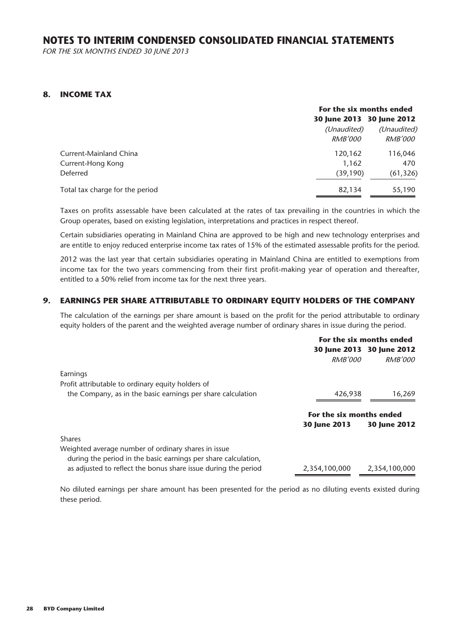FOR THE SIX MONTHS ENDED 30 JUNE 2013

#### **8. INCOME TAX**

|                                 |                | For the six months ended  |  |
|---------------------------------|----------------|---------------------------|--|
|                                 |                | 30 June 2013 30 June 2012 |  |
|                                 | (Unaudited)    | (Unaudited)               |  |
|                                 | <i>RMB'000</i> | <i>RMB'000</i>            |  |
| Current-Mainland China          | 120,162        | 116,046                   |  |
| Current-Hong Kong               | 1,162          | 470                       |  |
| Deferred                        | (39, 190)      | (61, 326)                 |  |
| Total tax charge for the period | 82,134         | 55,190                    |  |

Taxes on profits assessable have been calculated at the rates of tax prevailing in the countries in which the Group operates, based on existing legislation, interpretations and practices in respect thereof.

Certain subsidiaries operating in Mainland China are approved to be high and new technology enterprises and are entitle to enjoy reduced enterprise income tax rates of 15% of the estimated assessable profits for the period.

2012 was the last year that certain subsidiaries operating in Mainland China are entitled to exemptions from income tax for the two years commencing from their first profit-making year of operation and thereafter, entitled to a 50% relief from income tax for the next three years.

### **9. EARNINGS PER SHARE ATTRIBUTABLE TO ORDINARY EQUITY HOLDERS OF THE COMPANY**

The calculation of the earnings per share amount is based on the profit for the period attributable to ordinary equity holders of the parent and the weighted average number of ordinary shares in issue during the period.

|                                                                                                                       | For the six months ended |                           |
|-----------------------------------------------------------------------------------------------------------------------|--------------------------|---------------------------|
|                                                                                                                       |                          | 30 June 2013 30 June 2012 |
|                                                                                                                       | <i>RMB'000</i>           | <i>RMB'000</i>            |
| Earnings                                                                                                              |                          |                           |
| Profit attributable to ordinary equity holders of                                                                     |                          |                           |
| the Company, as in the basic earnings per share calculation                                                           | 426,938                  | 16,269                    |
|                                                                                                                       | For the six months ended |                           |
|                                                                                                                       | 30 June 2013             | 30 June 2012              |
| <b>Shares</b>                                                                                                         |                          |                           |
| Weighted average number of ordinary shares in issue<br>during the period in the basic earnings per share calculation, |                          |                           |
| as adjusted to reflect the bonus share issue during the period                                                        | 2,354,100,000            | 2,354,100,000             |

No diluted earnings per share amount has been presented for the period as no diluting events existed during these period.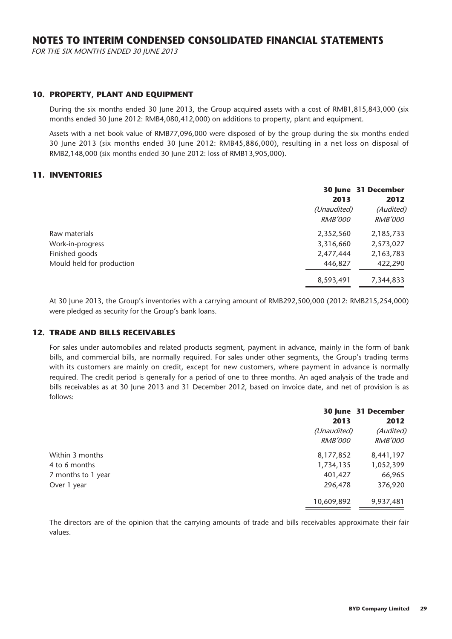FOR THE SIX MONTHS ENDED 30 JUNE 2013

#### **10. PROPERTY, PLANT AND EQUIPMENT**

During the six months ended 30 June 2013, the Group acquired assets with a cost of RMB1,815,843,000 (six months ended 30 June 2012: RMB4,080,412,000) on additions to property, plant and equipment.

Assets with a net book value of RMB77,096,000 were disposed of by the group during the six months ended 30 June 2013 (six months ended 30 June 2012: RMB45,886,000), resulting in a net loss on disposal of RMB2,148,000 (six months ended 30 June 2012: loss of RMB13,905,000).

#### **11. INVENTORIES**

|                           |                | 30 June 31 December |
|---------------------------|----------------|---------------------|
|                           | 2013           | 2012                |
|                           | (Unaudited)    | (Audited)           |
|                           | <i>RMB'000</i> | <i>RMB'000</i>      |
| Raw materials             | 2,352,560      | 2,185,733           |
| Work-in-progress          | 3,316,660      | 2,573,027           |
| Finished goods            | 2,477,444      | 2,163,783           |
| Mould held for production | 446,827        | 422,290             |
|                           | 8,593,491      | 7,344,833           |

At 30 June 2013, the Group's inventories with a carrying amount of RMB292,500,000 (2012: RMB215,254,000) were pledged as security for the Group's bank loans.

#### **12. TRADE AND BILLS RECEIVABLES**

For sales under automobiles and related products segment, payment in advance, mainly in the form of bank bills, and commercial bills, are normally required. For sales under other segments, the Group's trading terms with its customers are mainly on credit, except for new customers, where payment in advance is normally required. The credit period is generally for a period of one to three months. An aged analysis of the trade and bills receivables as at 30 June 2013 and 31 December 2012, based on invoice date, and net of provision is as follows:

|                    |                | 30 June 31 December |
|--------------------|----------------|---------------------|
|                    | 2013           | 2012                |
|                    | (Unaudited)    | (Audited)           |
|                    | <b>RMB'000</b> | <i>RMB'000</i>      |
| Within 3 months    | 8,177,852      | 8,441,197           |
| 4 to 6 months      | 1,734,135      | 1,052,399           |
| 7 months to 1 year | 401,427        | 66,965              |
| Over 1 year        | 296,478        | 376,920             |
|                    | 10,609,892     | 9,937,481           |

The directors are of the opinion that the carrying amounts of trade and bills receivables approximate their fair values.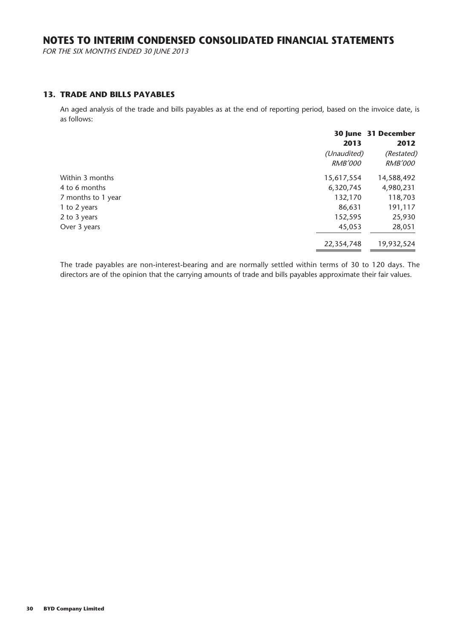FOR THE SIX MONTHS ENDED 30 JUNE 2013

#### **13. TRADE AND BILLS PAYABLES**

An aged analysis of the trade and bills payables as at the end of reporting period, based on the invoice date, is as follows:

|                    | 2013                          | 30 June 31 December<br>2012  |
|--------------------|-------------------------------|------------------------------|
|                    | (Unaudited)<br><i>RMB'000</i> | (Restated)<br><b>RMB'000</b> |
| Within 3 months    | 15,617,554                    | 14,588,492                   |
| 4 to 6 months      | 6,320,745                     | 4,980,231                    |
| 7 months to 1 year | 132,170                       | 118,703                      |
| 1 to 2 years       | 86,631                        | 191,117                      |
| 2 to 3 years       | 152,595                       | 25,930                       |
| Over 3 years       | 45,053                        | 28,051                       |
|                    | 22,354,748                    | 19,932,524                   |

The trade payables are non-interest-bearing and are normally settled within terms of 30 to 120 days. The directors are of the opinion that the carrying amounts of trade and bills payables approximate their fair values.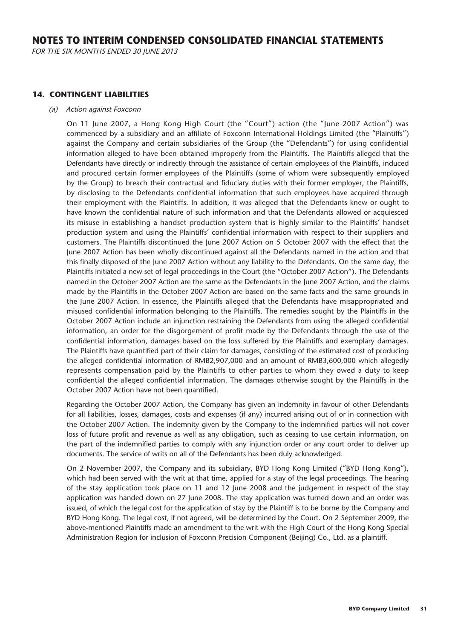FOR THE SIX MONTHS ENDED 30 JUNE 2013

#### **14. CONTINGENT LIABILITIES**

#### (a) Action against Foxconn

On 11 June 2007, a Hong Kong High Court (the "Court") action (the "June 2007 Action") was commenced by a subsidiary and an affiliate of Foxconn International Holdings Limited (the "Plaintiffs") against the Company and certain subsidiaries of the Group (the "Defendants") for using confidential information alleged to have been obtained improperly from the Plaintiffs. The Plaintiffs alleged that the Defendants have directly or indirectly through the assistance of certain employees of the Plaintiffs, induced and procured certain former employees of the Plaintiffs (some of whom were subsequently employed by the Group) to breach their contractual and fiduciary duties with their former employer, the Plaintiffs, by disclosing to the Defendants confidential information that such employees have acquired through their employment with the Plaintiffs. In addition, it was alleged that the Defendants knew or ought to have known the confidential nature of such information and that the Defendants allowed or acquiesced its misuse in establishing a handset production system that is highly similar to the Plaintiffs' handset production system and using the Plaintiffs' confidential information with respect to their suppliers and customers. The Plaintiffs discontinued the June 2007 Action on 5 October 2007 with the effect that the June 2007 Action has been wholly discontinued against all the Defendants named in the action and that this finally disposed of the June 2007 Action without any liability to the Defendants. On the same day, the Plaintiffs initiated a new set of legal proceedings in the Court (the "October 2007 Action"). The Defendants named in the October 2007 Action are the same as the Defendants in the June 2007 Action, and the claims made by the Plaintiffs in the October 2007 Action are based on the same facts and the same grounds in the June 2007 Action. In essence, the Plaintiffs alleged that the Defendants have misappropriated and misused confidential information belonging to the Plaintiffs. The remedies sought by the Plaintiffs in the October 2007 Action include an injunction restraining the Defendants from using the alleged confidential information, an order for the disgorgement of profit made by the Defendants through the use of the confidential information, damages based on the loss suffered by the Plaintiffs and exemplary damages. The Plaintiffs have quantified part of their claim for damages, consisting of the estimated cost of producing the alleged confidential information of RMB2,907,000 and an amount of RMB3,600,000 which allegedly represents compensation paid by the Plaintiffs to other parties to whom they owed a duty to keep confidential the alleged confidential information. The damages otherwise sought by the Plaintiffs in the October 2007 Action have not been quantified.

Regarding the October 2007 Action, the Company has given an indemnity in favour of other Defendants for all liabilities, losses, damages, costs and expenses (if any) incurred arising out of or in connection with the October 2007 Action. The indemnity given by the Company to the indemnified parties will not cover loss of future profit and revenue as well as any obligation, such as ceasing to use certain information, on the part of the indemnified parties to comply with any injunction order or any court order to deliver up documents. The service of writs on all of the Defendants has been duly acknowledged.

On 2 November 2007, the Company and its subsidiary, BYD Hong Kong Limited ("BYD Hong Kong"), which had been served with the writ at that time, applied for a stay of the legal proceedings. The hearing of the stay application took place on 11 and 12 June 2008 and the judgement in respect of the stay application was handed down on 27 June 2008. The stay application was turned down and an order was issued, of which the legal cost for the application of stay by the Plaintiff is to be borne by the Company and BYD Hong Kong. The legal cost, if not agreed, will be determined by the Court. On 2 September 2009, the above-mentioned Plaintiffs made an amendment to the writ with the High Court of the Hong Kong Special Administration Region for inclusion of Foxconn Precision Component (Beijing) Co., Ltd. as a plaintiff.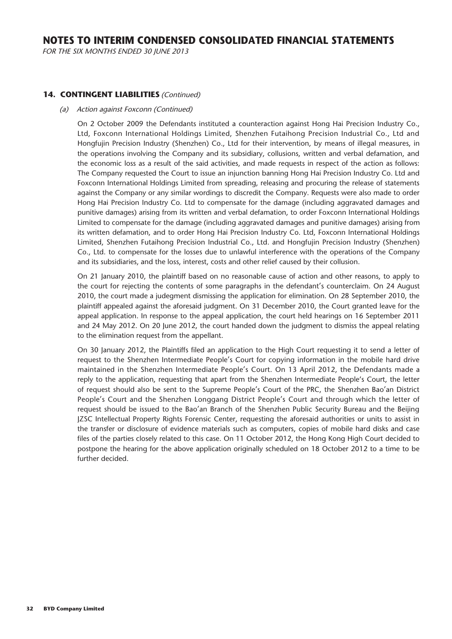FOR THE SIX MONTHS ENDED 30 JUNE 2013

#### **14. CONTINGENT LIABILITIES** (Continued)

#### (a) Action against Foxconn (Continued)

On 2 October 2009 the Defendants instituted a counteraction against Hong Hai Precision Industry Co., Ltd, Foxconn International Holdings Limited, Shenzhen Futaihong Precision Industrial Co., Ltd and Hongfujin Precision Industry (Shenzhen) Co., Ltd for their intervention, by means of illegal measures, in the operations involving the Company and its subsidiary, collusions, written and verbal defamation, and the economic loss as a result of the said activities, and made requests in respect of the action as follows: The Company requested the Court to issue an injunction banning Hong Hai Precision Industry Co. Ltd and Foxconn International Holdings Limited from spreading, releasing and procuring the release of statements against the Company or any similar wordings to discredit the Company. Requests were also made to order Hong Hai Precision Industry Co. Ltd to compensate for the damage (including aggravated damages and punitive damages) arising from its written and verbal defamation, to order Foxconn International Holdings Limited to compensate for the damage (including aggravated damages and punitive damages) arising from its written defamation, and to order Hong Hai Precision Industry Co. Ltd, Foxconn International Holdings Limited, Shenzhen Futaihong Precision Industrial Co., Ltd. and Hongfujin Precision Industry (Shenzhen) Co., Ltd. to compensate for the losses due to unlawful interference with the operations of the Company and its subsidiaries, and the loss, interest, costs and other relief caused by their collusion.

On 21 January 2010, the plaintiff based on no reasonable cause of action and other reasons, to apply to the court for rejecting the contents of some paragraphs in the defendant's counterclaim. On 24 August 2010, the court made a judegment dismissing the application for elimination. On 28 September 2010, the plaintiff appealed against the aforesaid judgment. On 31 December 2010, the Court granted leave for the appeal application. In response to the appeal application, the court held hearings on 16 September 2011 and 24 May 2012. On 20 June 2012, the court handed down the judgment to dismiss the appeal relating to the elimination request from the appellant.

On 30 January 2012, the Plaintiffs filed an application to the High Court requesting it to send a letter of request to the Shenzhen Intermediate People's Court for copying information in the mobile hard drive maintained in the Shenzhen Intermediate People's Court. On 13 April 2012, the Defendants made a reply to the application, requesting that apart from the Shenzhen Intermediate People's Court, the letter of request should also be sent to the Supreme People's Court of the PRC, the Shenzhen Bao'an District People's Court and the Shenzhen Longgang District People's Court and through which the letter of request should be issued to the Bao'an Branch of the Shenzhen Public Security Bureau and the Beijing JZSC Intellectual Property Rights Forensic Center, requesting the aforesaid authorities or units to assist in the transfer or disclosure of evidence materials such as computers, copies of mobile hard disks and case files of the parties closely related to this case. On 11 October 2012, the Hong Kong High Court decided to postpone the hearing for the above application originally scheduled on 18 October 2012 to a time to be further decided.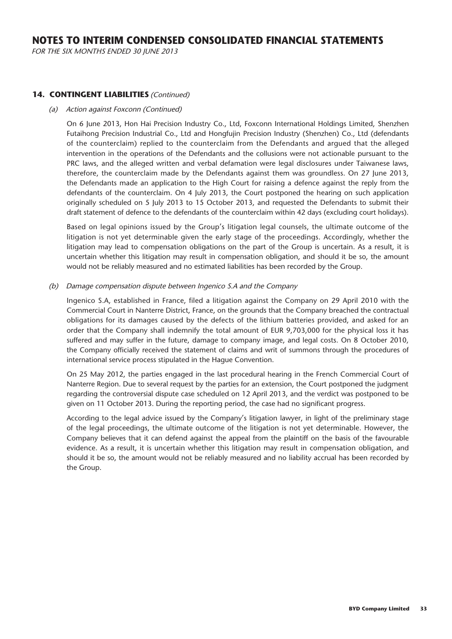FOR THE SIX MONTHS ENDED 30 JUNE 2013

#### **14. CONTINGENT LIABILITIES** (Continued)

#### (a) Action against Foxconn (Continued)

On 6 June 2013, Hon Hai Precision Industry Co., Ltd, Foxconn International Holdings Limited, Shenzhen Futaihong Precision Industrial Co., Ltd and Hongfujin Precision Industry (Shenzhen) Co., Ltd (defendants of the counterclaim) replied to the counterclaim from the Defendants and argued that the alleged intervention in the operations of the Defendants and the collusions were not actionable pursuant to the PRC laws, and the alleged written and verbal defamation were legal disclosures under Taiwanese laws, therefore, the counterclaim made by the Defendants against them was groundless. On 27 June 2013, the Defendants made an application to the High Court for raising a defence against the reply from the defendants of the counterclaim. On 4 July 2013, the Court postponed the hearing on such application originally scheduled on 5 July 2013 to 15 October 2013, and requested the Defendants to submit their draft statement of defence to the defendants of the counterclaim within 42 days (excluding court holidays).

Based on legal opinions issued by the Group's litigation legal counsels, the ultimate outcome of the litigation is not yet determinable given the early stage of the proceedings. Accordingly, whether the litigation may lead to compensation obligations on the part of the Group is uncertain. As a result, it is uncertain whether this litigation may result in compensation obligation, and should it be so, the amount would not be reliably measured and no estimated liabilities has been recorded by the Group.

#### (b) Damage compensation dispute between Ingenico S.A and the Company

Ingenico S.A, established in France, filed a litigation against the Company on 29 April 2010 with the Commercial Court in Nanterre District, France, on the grounds that the Company breached the contractual obligations for its damages caused by the defects of the lithium batteries provided, and asked for an order that the Company shall indemnify the total amount of EUR 9,703,000 for the physical loss it has suffered and may suffer in the future, damage to company image, and legal costs. On 8 October 2010, the Company officially received the statement of claims and writ of summons through the procedures of international service process stipulated in the Hague Convention.

On 25 May 2012, the parties engaged in the last procedural hearing in the French Commercial Court of Nanterre Region. Due to several request by the parties for an extension, the Court postponed the judgment regarding the controversial dispute case scheduled on 12 April 2013, and the verdict was postponed to be given on 11 October 2013. During the reporting period, the case had no significant progress.

According to the legal advice issued by the Company's litigation lawyer, in light of the preliminary stage of the legal proceedings, the ultimate outcome of the litigation is not yet determinable. However, the Company believes that it can defend against the appeal from the plaintiff on the basis of the favourable evidence. As a result, it is uncertain whether this litigation may result in compensation obligation, and should it be so, the amount would not be reliably measured and no liability accrual has been recorded by the Group.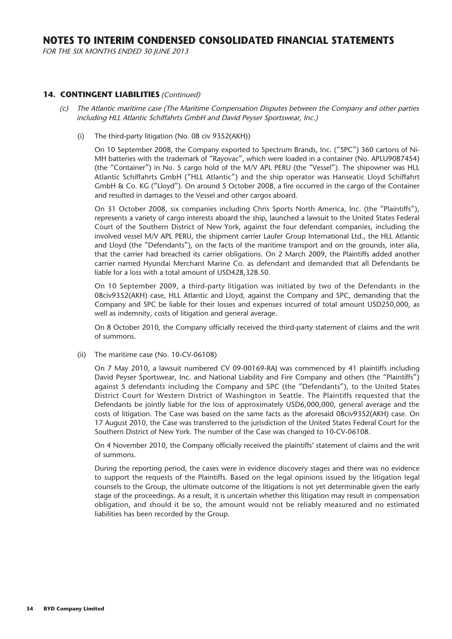FOR THE SIX MONTHS ENDED 30 JUNE 2013

#### **14. CONTINGENT LIABILITIES** (Continued)

- The Atlantic maritime case (The Maritime Compensation Disputes between the Company and other parties including HLL Atlantic Schiffahrts GmbH and David Peyser Sportswear, Inc.)
	- (i) The third-party litigation (No. 08 civ 9352(AKH))

On 10 September 2008, the Company exported to Spectrum Brands, Inc. ("SPC") 360 cartons of Ni-MH batteries with the trademark of "Rayovac", which were loaded in a container (No. APLU9087454) (the "Container") in No. 5 cargo hold of the M/V APL PERU (the "Vessel"). The shipowner was HLL Atlantic Schiffahrts GmbH ("HLL Atlantic") and the ship operator was Hanseatic Lloyd Schiffahrt GmbH & Co. KG ("Lloyd"). On around 5 October 2008, a fire occurred in the cargo of the Container and resulted in damages to the Vessel and other cargos aboard.

On 31 October 2008, six companies including Chris Sports North America, Inc. (the "Plaintiffs"), represents a variety of cargo interests aboard the ship, launched a lawsuit to the United States Federal Court of the Southern District of New York, against the four defendant companies, including the involved vessel M/V APL PERU, the shipment carrier Laufer Group International Ltd., the HLL Atlantic and Lloyd (the "Defendants"), on the facts of the maritime transport and on the grounds, inter alia, that the carrier had breached its carrier obligations. On 2 March 2009, the Plaintiffs added another carrier named Hyundai Merchant Marine Co. as defendant and demanded that all Defendants be liable for a loss with a total amount of USD428,328.50.

On 10 September 2009, a third-party litigation was initiated by two of the Defendants in the 08civ9352(AKH) case, HLL Atlantic and Lloyd, against the Company and SPC, demanding that the Company and SPC be liable for their losses and expenses incurred of total amount USD250,000, as well as indemnity, costs of litigation and general average.

On 8 October 2010, the Company officially received the third-party statement of claims and the writ of summons.

(ii) The maritime case (No. 10-CV-06108)

On 7 May 2010, a lawsuit numbered CV 09-00169-RAJ was commenced by 41 plaintiffs including David Peyser Sportswear, Inc. and National Liability and Fire Company and others (the "Plaintiffs") against 5 defendants including the Company and SPC (the "Defendants"), to the United States District Court for Western District of Washington in Seattle. The Plaintiffs requested that the Defendants be jointly liable for the loss of approximately USD6,000,000, general average and the costs of litigation. The Case was based on the same facts as the aforesaid 08civ9352(AKH) case. On 17 August 2010, the Case was transferred to the jurisdiction of the United States Federal Court for the Southern District of New York. The number of the Case was changed to 10-CV-06108.

On 4 November 2010, the Company officially received the plaintiffs' statement of claims and the writ of summons.

During the reporting period, the cases were in evidence discovery stages and there was no evidence to support the requests of the Plaintiffs. Based on the legal opinions issued by the litigation legal counsels to the Group, the ultimate outcome of the litigations is not yet determinable given the early stage of the proceedings. As a result, it is uncertain whether this litigation may result in compensation obligation, and should it be so, the amount would not be reliably measured and no estimated liabilities has been recorded by the Group.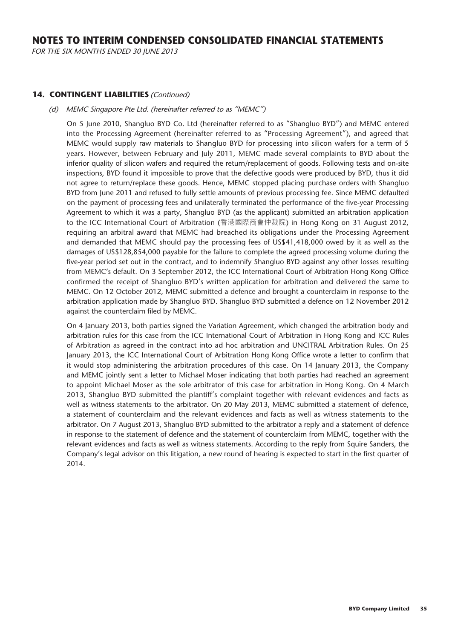FOR THE SIX MONTHS ENDED 30 JUNE 2013

#### **14. CONTINGENT LIABILITIES** (Continued)

#### (d) MEMC Singapore Pte Ltd. (hereinafter referred to as "MEMC")

On 5 June 2010, Shangluo BYD Co. Ltd (hereinafter referred to as "Shangluo BYD") and MEMC entered into the Processing Agreement (hereinafter referred to as "Processing Agreement"), and agreed that MEMC would supply raw materials to Shangluo BYD for processing into silicon wafers for a term of 5 years. However, between February and July 2011, MEMC made several complaints to BYD about the inferior quality of silicon wafers and required the return/replacement of goods. Following tests and on-site inspections, BYD found it impossible to prove that the defective goods were produced by BYD, thus it did not agree to return/replace these goods. Hence, MEMC stopped placing purchase orders with Shangluo BYD from June 2011 and refused to fully settle amounts of previous processing fee. Since MEMC defaulted on the payment of processing fees and unilaterally terminated the performance of the five-year Processing Agreement to which it was a party, Shangluo BYD (as the applicant) submitted an arbitration application to the ICC International Court of Arbitration (香港國際商會仲裁院) in Hong Kong on 31 August 2012, requiring an arbitral award that MEMC had breached its obligations under the Processing Agreement and demanded that MEMC should pay the processing fees of US\$41,418,000 owed by it as well as the damages of US\$128,854,000 payable for the failure to complete the agreed processing volume during the five-year period set out in the contract, and to indemnify Shangluo BYD against any other losses resulting from MEMC's default. On 3 September 2012, the ICC International Court of Arbitration Hong Kong Office confirmed the receipt of Shangluo BYD's written application for arbitration and delivered the same to MEMC. On 12 October 2012, MEMC submitted a defence and brought a counterclaim in response to the arbitration application made by Shangluo BYD. Shangluo BYD submitted a defence on 12 November 2012 against the counterclaim filed by MEMC.

On 4 January 2013, both parties signed the Variation Agreement, which changed the arbitration body and arbitration rules for this case from the ICC International Court of Arbitration in Hong Kong and ICC Rules of Arbitration as agreed in the contract into ad hoc arbitration and UNCITRAL Arbitration Rules. On 25 January 2013, the ICC International Court of Arbitration Hong Kong Office wrote a letter to confirm that it would stop administering the arbitration procedures of this case. On 14 January 2013, the Company and MEMC jointly sent a letter to Michael Moser indicating that both parties had reached an agreement to appoint Michael Moser as the sole arbitrator of this case for arbitration in Hong Kong. On 4 March 2013, Shangluo BYD submitted the plantiff's complaint together with relevant evidences and facts as well as witness statements to the arbitrator. On 20 May 2013, MEMC submitted a statement of defence, a statement of counterclaim and the relevant evidences and facts as well as witness statements to the arbitrator. On 7 August 2013, Shangluo BYD submitted to the arbitrator a reply and a statement of defence in response to the statement of defence and the statement of counterclaim from MEMC, together with the relevant evidences and facts as well as witness statements. According to the reply from Squire Sanders, the Company's legal advisor on this litigation, a new round of hearing is expected to start in the first quarter of 2014.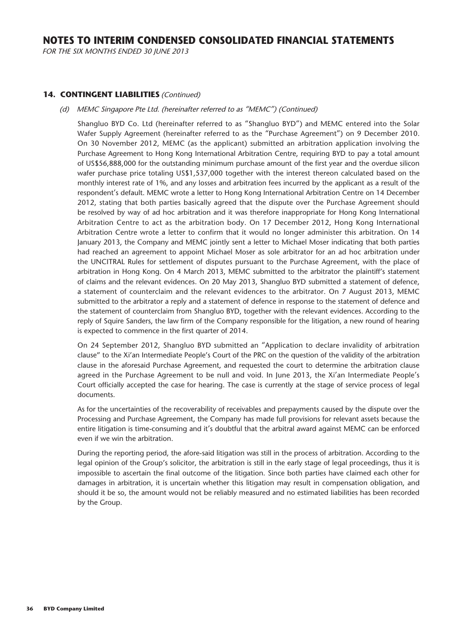FOR THE SIX MONTHS ENDED 30 JUNE 2013

#### **14. CONTINGENT LIABILITIES** (Continued)

#### (d) MEMC Singapore Pte Ltd. (hereinafter referred to as "MEMC") (Continued)

Shangluo BYD Co. Ltd (hereinafter referred to as "Shangluo BYD") and MEMC entered into the Solar Wafer Supply Agreement (hereinafter referred to as the "Purchase Agreement") on 9 December 2010. On 30 November 2012, MEMC (as the applicant) submitted an arbitration application involving the Purchase Agreement to Hong Kong International Arbitration Centre, requiring BYD to pay a total amount of US\$56,888,000 for the outstanding minimum purchase amount of the first year and the overdue silicon wafer purchase price totaling US\$1,537,000 together with the interest thereon calculated based on the monthly interest rate of 1%, and any losses and arbitration fees incurred by the applicant as a result of the respondent's default. MEMC wrote a letter to Hong Kong International Arbitration Centre on 14 December 2012, stating that both parties basically agreed that the dispute over the Purchase Agreement should be resolved by way of ad hoc arbitration and it was therefore inappropriate for Hong Kong International Arbitration Centre to act as the arbitration body. On 17 December 2012, Hong Kong International Arbitration Centre wrote a letter to confirm that it would no longer administer this arbitration. On 14 January 2013, the Company and MEMC jointly sent a letter to Michael Moser indicating that both parties had reached an agreement to appoint Michael Moser as sole arbitrator for an ad hoc arbitration under the UNCITRAL Rules for settlement of disputes pursuant to the Purchase Agreement, with the place of arbitration in Hong Kong. On 4 March 2013, MEMC submitted to the arbitrator the plaintiff's statement of claims and the relevant evidences. On 20 May 2013, Shangluo BYD submitted a statement of defence, a statement of counterclaim and the relevant evidences to the arbitrator. On 7 August 2013, MEMC submitted to the arbitrator a reply and a statement of defence in response to the statement of defence and the statement of counterclaim from Shangluo BYD, together with the relevant evidences. According to the reply of Squire Sanders, the law firm of the Company responsible for the litigation, a new round of hearing is expected to commence in the first quarter of 2014.

On 24 September 2012, Shangluo BYD submitted an "Application to declare invalidity of arbitration clause" to the Xi'an Intermediate People's Court of the PRC on the question of the validity of the arbitration clause in the aforesaid Purchase Agreement, and requested the court to determine the arbitration clause agreed in the Purchase Agreement to be null and void. In June 2013, the Xi'an Intermediate People's Court officially accepted the case for hearing. The case is currently at the stage of service process of legal documents.

As for the uncertainties of the recoverability of receivables and prepayments caused by the dispute over the Processing and Purchase Agreement, the Company has made full provisions for relevant assets because the entire litigation is time-consuming and it's doubtful that the arbitral award against MEMC can be enforced even if we win the arbitration.

During the reporting period, the afore-said litigation was still in the process of arbitration. According to the legal opinion of the Group's solicitor, the arbitration is still in the early stage of legal proceedings, thus it is impossible to ascertain the final outcome of the litigation. Since both parties have claimed each other for damages in arbitration, it is uncertain whether this litigation may result in compensation obligation, and should it be so, the amount would not be reliably measured and no estimated liabilities has been recorded by the Group.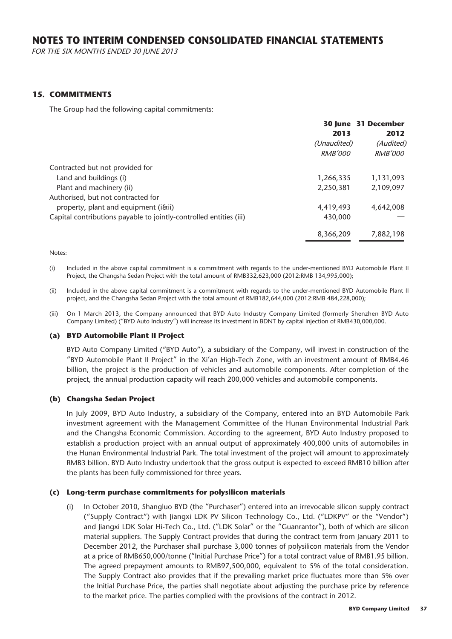FOR THE SIX MONTHS ENDED 30 JUNE 2013

#### **15. COMMITMENTS**

The Group had the following capital commitments:

|                                                                    |                | 30 June 31 December |
|--------------------------------------------------------------------|----------------|---------------------|
|                                                                    | 2013           | 2012                |
|                                                                    | (Unaudited)    | (Audited)           |
|                                                                    | <i>RMB'000</i> | <i>RMB'000</i>      |
| Contracted but not provided for                                    |                |                     |
| Land and buildings (i)                                             | 1,266,335      | 1,131,093           |
| Plant and machinery (ii)                                           | 2,250,381      | 2,109,097           |
| Authorised, but not contracted for                                 |                |                     |
| property, plant and equipment (iⅈ)                                 | 4,419,493      | 4,642,008           |
| Capital contributions payable to jointly-controlled entities (iii) | 430,000        |                     |
|                                                                    | 8,366,209      | 7,882,198           |

Notes:

(i) Included in the above capital commitment is a commitment with regards to the under-mentioned BYD Automobile Plant II Project, the Changsha Sedan Project with the total amount of RMB332,623,000 (2012:RMB 134,995,000);

(ii) Included in the above capital commitment is a commitment with regards to the under-mentioned BYD Automobile Plant II project, and the Changsha Sedan Project with the total amount of RMB182,644,000 (2012:RMB 484,228,000);

(iii) On 1 March 2013, the Company announced that BYD Auto Industry Company Limited (formerly Shenzhen BYD Auto Company Limited) ("BYD Auto Industry") will increase its investment in BDNT by capital injection of RMB430,000,000.

#### **(a) BYD Automobile Plant II Project**

BYD Auto Company Limited ("BYD Auto"), a subsidiary of the Company, will invest in construction of the "BYD Automobile Plant II Project" in the Xi'an High-Tech Zone, with an investment amount of RMB4.46 billion, the project is the production of vehicles and automobile components. After completion of the project, the annual production capacity will reach 200,000 vehicles and automobile components.

#### **(b) Changsha Sedan Project**

In July 2009, BYD Auto Industry, a subsidiary of the Company, entered into an BYD Automobile Park investment agreement with the Management Committee of the Hunan Environmental Industrial Park and the Changsha Economic Commission. According to the agreement, BYD Auto Industry proposed to establish a production project with an annual output of approximately 400,000 units of automobiles in the Hunan Environmental Industrial Park. The total investment of the project will amount to approximately RMB3 billion. BYD Auto Industry undertook that the gross output is expected to exceed RMB10 billion after the plants has been fully commissioned for three years.

#### **(c) Long-term purchase commitments for polysilicon materials**

(i) In October 2010, Shangluo BYD (the "Purchaser") entered into an irrevocable silicon supply contract ("Supply Contract") with Jiangxi LDK PV Silicon Technology Co., Ltd. ("LDKPV" or the "Vendor") and Jiangxi LDK Solar Hi-Tech Co., Ltd. ("LDK Solar" or the "Guanrantor"), both of which are silicon material suppliers. The Supply Contract provides that during the contract term from January 2011 to December 2012, the Purchaser shall purchase 3,000 tonnes of polysilicon materials from the Vendor at a price of RMB650,000/tonne ("Initial Purchase Price") for a total contract value of RMB1.95 billion. The agreed prepayment amounts to RMB97,500,000, equivalent to 5% of the total consideration. The Supply Contract also provides that if the prevailing market price fluctuates more than 5% over the Initial Purchase Price, the parties shall negotiate about adjusting the purchase price by reference to the market price. The parties complied with the provisions of the contract in 2012.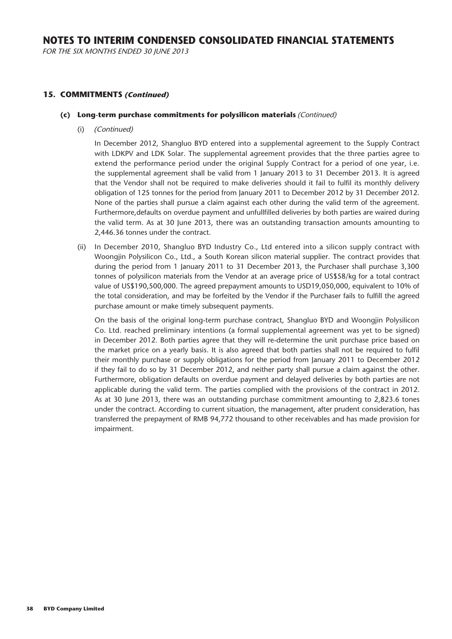FOR THE SIX MONTHS ENDED 30 JUNE 2013

#### **15. COMMITMENTS (Continued)**

#### **(c) Long-term purchase commitments for polysilicon materials** (Continued)

(i) (Continued)

In December 2012, Shangluo BYD entered into a supplemental agreement to the Supply Contract with LDKPV and LDK Solar. The supplemental agreement provides that the three parties agree to extend the performance period under the original Supply Contract for a period of one year, i.e. the supplemental agreement shall be valid from 1 January 2013 to 31 December 2013. It is agreed that the Vendor shall not be required to make deliveries should it fail to fulfil its monthly delivery obligation of 125 tonnes for the period from January 2011 to December 2012 by 31 December 2012. None of the parties shall pursue a claim against each other during the valid term of the agreement. Furthermore,defaults on overdue payment and unfullfilled deliveries by both parties are waired during the valid term. As at 30 June 2013, there was an outstanding transaction amounts amounting to 2,446.36 tonnes under the contract.

(ii) In December 2010, Shangluo BYD Industry Co., Ltd entered into a silicon supply contract with Woongjin Polysilicon Co., Ltd., a South Korean silicon material supplier. The contract provides that during the period from 1 January 2011 to 31 December 2013, the Purchaser shall purchase 3,300 tonnes of polysilicon materials from the Vendor at an average price of US\$58/kg for a total contract value of US\$190,500,000. The agreed prepayment amounts to USD19,050,000, equivalent to 10% of the total consideration, and may be forfeited by the Vendor if the Purchaser fails to fulfill the agreed purchase amount or make timely subsequent payments.

On the basis of the original long-term purchase contract, Shangluo BYD and Woongjin Polysilicon Co. Ltd. reached preliminary intentions (a formal supplemental agreement was yet to be signed) in December 2012. Both parties agree that they will re-determine the unit purchase price based on the market price on a yearly basis. It is also agreed that both parties shall not be required to fulfil their monthly purchase or supply obligations for the period from January 2011 to December 2012 if they fail to do so by 31 December 2012, and neither party shall pursue a claim against the other. Furthermore, obligation defaults on overdue payment and delayed deliveries by both parties are not applicable during the valid term. The parties complied with the provisions of the contract in 2012. As at 30 June 2013, there was an outstanding purchase commitment amounting to 2,823.6 tones under the contract. According to current situation, the management, after prudent consideration, has transferred the prepayment of RMB 94,772 thousand to other receivables and has made provision for impairment.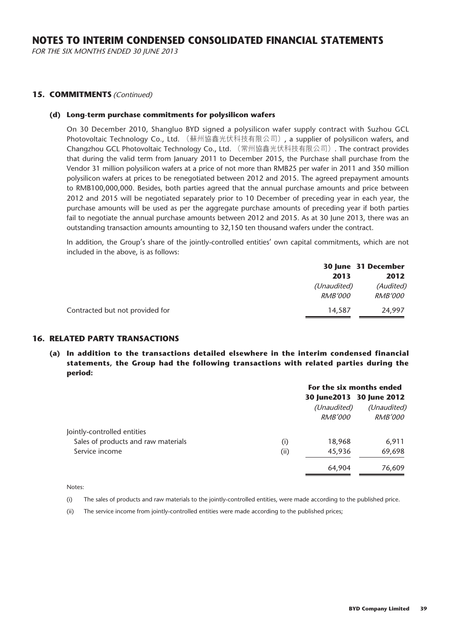FOR THE SIX MONTHS ENDED 30 JUNE 2013

#### **15. COMMITMENTS** (Continued)

#### **(d) Long-term purchase commitments for polysilicon wafers**

On 30 December 2010, Shangluo BYD signed a polysilicon wafer supply contract with Suzhou GCL Photovoltaic Technology Co., Ltd. (蘇州協鑫光伏科技有限公司), a supplier of polysilicon wafers, and Changzhou GCL Photovoltaic Technology Co., Ltd. (常州協鑫光伏科技有限公司). The contract provides that during the valid term from January 2011 to December 2015, the Purchase shall purchase from the Vendor 31 million polysilicon wafers at a price of not more than RMB25 per wafer in 2011 and 350 million polysilicon wafers at prices to be renegotiated between 2012 and 2015. The agreed prepayment amounts to RMB100,000,000. Besides, both parties agreed that the annual purchase amounts and price between 2012 and 2015 will be negotiated separately prior to 10 December of preceding year in each year, the purchase amounts will be used as per the aggregate purchase amounts of preceding year if both parties fail to negotiate the annual purchase amounts between 2012 and 2015. As at 30 June 2013, there was an outstanding transaction amounts amounting to 32,150 ten thousand wafers under the contract.

In addition, the Group's share of the jointly-controlled entities' own capital commitments, which are not included in the above, is as follows:

|                                 |                               | 30 June 31 December         |
|---------------------------------|-------------------------------|-----------------------------|
|                                 | 2013                          | 2012                        |
|                                 | (Unaudited)<br><b>RMB'000</b> | (Audited)<br><i>RMB'000</i> |
| Contracted but not provided for | 14,587                        | 24.997                      |

#### **16. RELATED PARTY TRANSACTIONS**

**(a) In addition to the transactions detailed elsewhere in the interim condensed financial statements, the Group had the following transactions with related parties during the period:**

|                                                                    |             | For the six months ended      |                                                            |
|--------------------------------------------------------------------|-------------|-------------------------------|------------------------------------------------------------|
|                                                                    |             | (Unaudited)<br><i>RMB'000</i> | 30 June 2013 30 June 2012<br>(Unaudited)<br><i>RMB'000</i> |
| Jointly-controlled entities<br>Sales of products and raw materials |             | 18,968                        | 6,911                                                      |
| Service income                                                     | (i)<br>(ii) | 45,936                        | 69,698                                                     |
|                                                                    |             | 64,904                        | 76,609                                                     |

Notes:

(i) The sales of products and raw materials to the jointly-controlled entities, were made according to the published price.

(ii) The service income from jointly-controlled entities were made according to the published prices;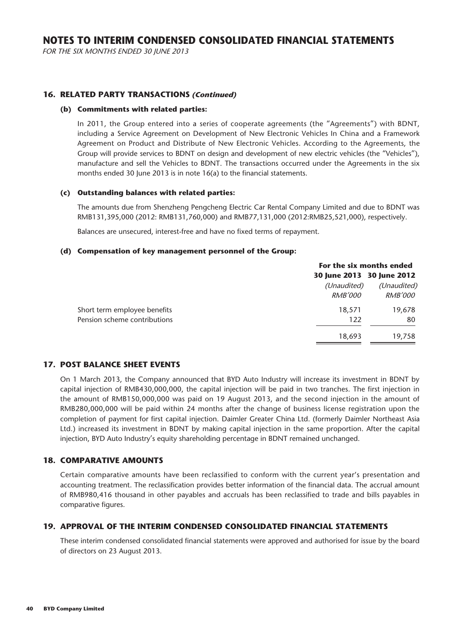FOR THE SIX MONTHS ENDED 30 JUNE 2013

#### **16. RELATED PARTY TRANSACTIONS (Continued)**

#### **(b) Commitments with related parties:**

In 2011, the Group entered into a series of cooperate agreements (the "Agreements") with BDNT, including a Service Agreement on Development of New Electronic Vehicles In China and a Framework Agreement on Product and Distribute of New Electronic Vehicles. According to the Agreements, the Group will provide services to BDNT on design and development of new electric vehicles (the "Vehicles"), manufacture and sell the Vehicles to BDNT. The transactions occurred under the Agreements in the six months ended 30 June 2013 is in note 16(a) to the financial statements.

#### **(c) Outstanding balances with related parties:**

The amounts due from Shenzheng Pengcheng Electric Car Rental Company Limited and due to BDNT was RMB131,395,000 (2012: RMB131,760,000) and RMB77,131,000 (2012:RMB25,521,000), respectively.

Balances are unsecured, interest-free and have no fixed terms of repayment.

#### **(d) Compensation of key management personnel of the Group:**

|                              | For the six months ended  |                |
|------------------------------|---------------------------|----------------|
|                              | 30 June 2013 30 June 2012 |                |
|                              | (Unaudited)               | (Unaudited)    |
|                              | <i>RMB'000</i>            | <i>RMB'000</i> |
| Short term employee benefits | 18,571                    | 19,678         |
| Pension scheme contributions | 122                       | 80             |
|                              | 18,693                    | 19,758         |

#### **17. POST BALANCE SHEET EVENTS**

On 1 March 2013, the Company announced that BYD Auto Industry will increase its investment in BDNT by capital injection of RMB430,000,000, the capital injection will be paid in two tranches. The first injection in the amount of RMB150,000,000 was paid on 19 August 2013, and the second injection in the amount of RMB280,000,000 will be paid within 24 months after the change of business license registration upon the completion of payment for first capital injection. Daimler Greater China Ltd. (formerly Daimler Northeast Asia Ltd.) increased its investment in BDNT by making capital injection in the same proportion. After the capital injection, BYD Auto Industry's equity shareholding percentage in BDNT remained unchanged.

#### **18. COMPARATIVE AMOUNTS**

Certain comparative amounts have been reclassified to conform with the current year's presentation and accounting treatment. The reclassification provides better information of the financial data. The accrual amount of RMB980,416 thousand in other payables and accruals has been reclassified to trade and bills payables in comparative figures.

#### **19. APPROVAL OF THE INTERIM CONDENSED CONSOLIDATED FINANCIAL STATEMENTS**

These interim condensed consolidated financial statements were approved and authorised for issue by the board of directors on 23 August 2013.